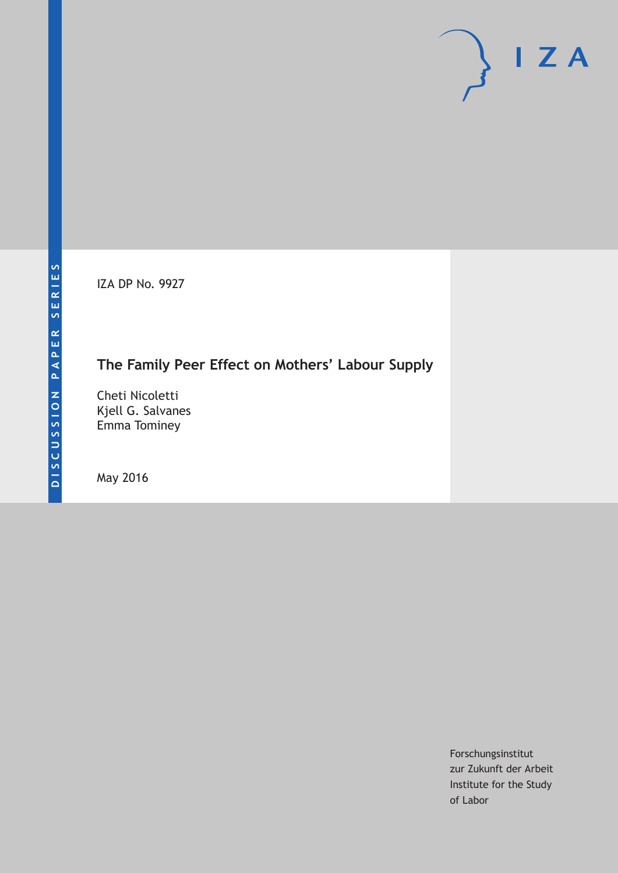IZA DP No. 9927

# **The Family Peer Effect on Mothers' Labour Supply**

Cheti Nicoletti Kjell G. Salvanes Emma Tominey

May 2016

Forschungsinstitut zur Zukunft der Arbeit Institute for the Study of Labor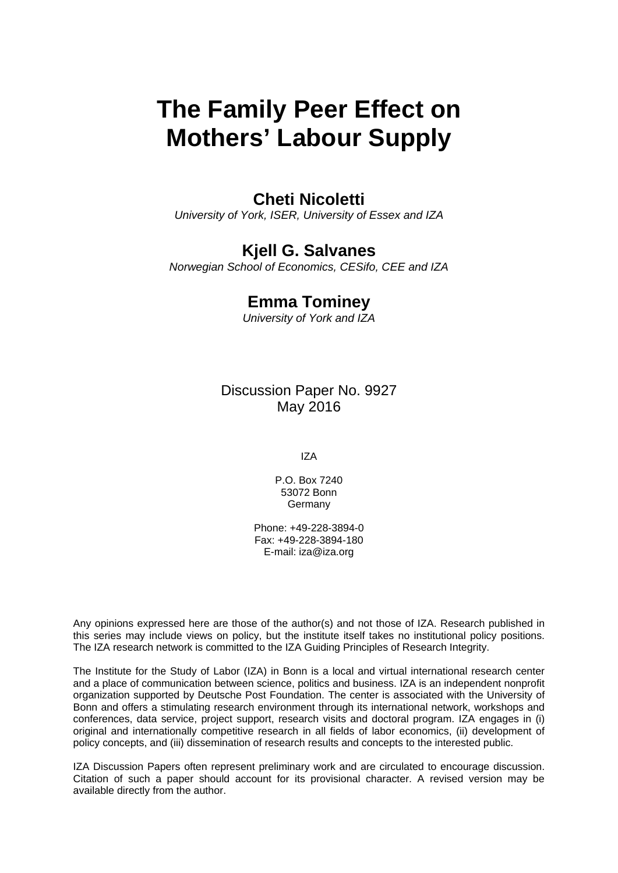# **The Family Peer Effect on Mothers' Labour Supply**

### **Cheti Nicoletti**

*University of York, ISER, University of Essex and IZA* 

### **Kjell G. Salvanes**

*Norwegian School of Economics, CESifo, CEE and IZA* 

#### **Emma Tominey**

*University of York and IZA*

Discussion Paper No. 9927 May 2016

IZA

P.O. Box 7240 53072 Bonn **Germany** 

Phone: +49-228-3894-0 Fax: +49-228-3894-180 E-mail: iza@iza.org

Any opinions expressed here are those of the author(s) and not those of IZA. Research published in this series may include views on policy, but the institute itself takes no institutional policy positions. The IZA research network is committed to the IZA Guiding Principles of Research Integrity.

The Institute for the Study of Labor (IZA) in Bonn is a local and virtual international research center and a place of communication between science, politics and business. IZA is an independent nonprofit organization supported by Deutsche Post Foundation. The center is associated with the University of Bonn and offers a stimulating research environment through its international network, workshops and conferences, data service, project support, research visits and doctoral program. IZA engages in (i) original and internationally competitive research in all fields of labor economics, (ii) development of policy concepts, and (iii) dissemination of research results and concepts to the interested public.

IZA Discussion Papers often represent preliminary work and are circulated to encourage discussion. Citation of such a paper should account for its provisional character. A revised version may be available directly from the author.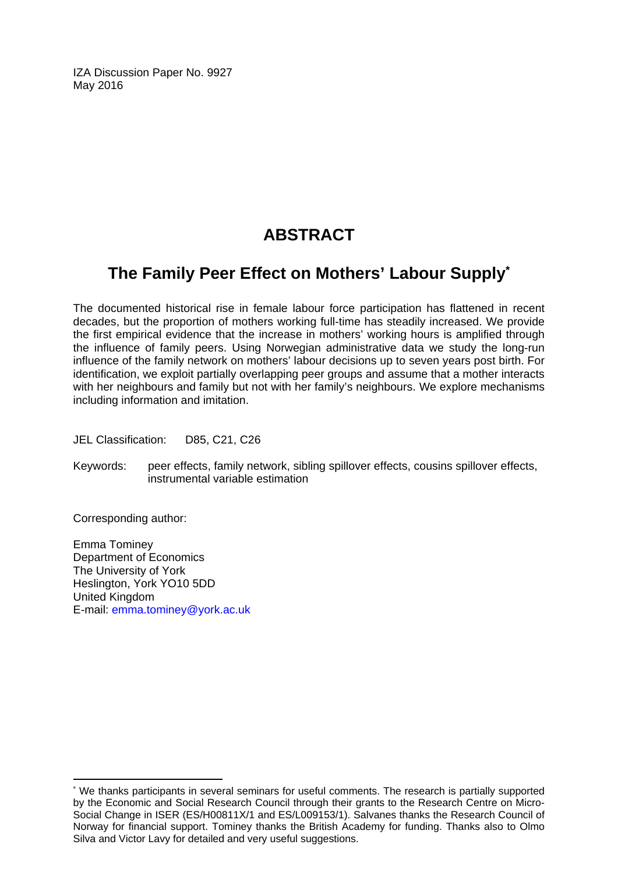IZA Discussion Paper No. 9927 May 2016

# **ABSTRACT**

# **The Family Peer Effect on Mothers' Labour Supply\***

The documented historical rise in female labour force participation has flattened in recent decades, but the proportion of mothers working full-time has steadily increased. We provide the first empirical evidence that the increase in mothers' working hours is amplified through the influence of family peers. Using Norwegian administrative data we study the long-run influence of the family network on mothers' labour decisions up to seven years post birth. For identification, we exploit partially overlapping peer groups and assume that a mother interacts with her neighbours and family but not with her family's neighbours. We explore mechanisms including information and imitation.

JEL Classification: D85, C21, C26

Keywords: peer effects, family network, sibling spillover effects, cousins spillover effects, instrumental variable estimation

Corresponding author:

 $\overline{\phantom{a}}$ 

Emma Tominey Department of Economics The University of York Heslington, York YO10 5DD United Kingdom E-mail: emma.tominey@york.ac.uk

<sup>\*</sup> We thanks participants in several seminars for useful comments. The research is partially supported by the Economic and Social Research Council through their grants to the Research Centre on Micro-Social Change in ISER (ES/H00811X/1 and ES/L009153/1). Salvanes thanks the Research Council of Norway for financial support. Tominey thanks the British Academy for funding. Thanks also to Olmo Silva and Victor Lavy for detailed and very useful suggestions.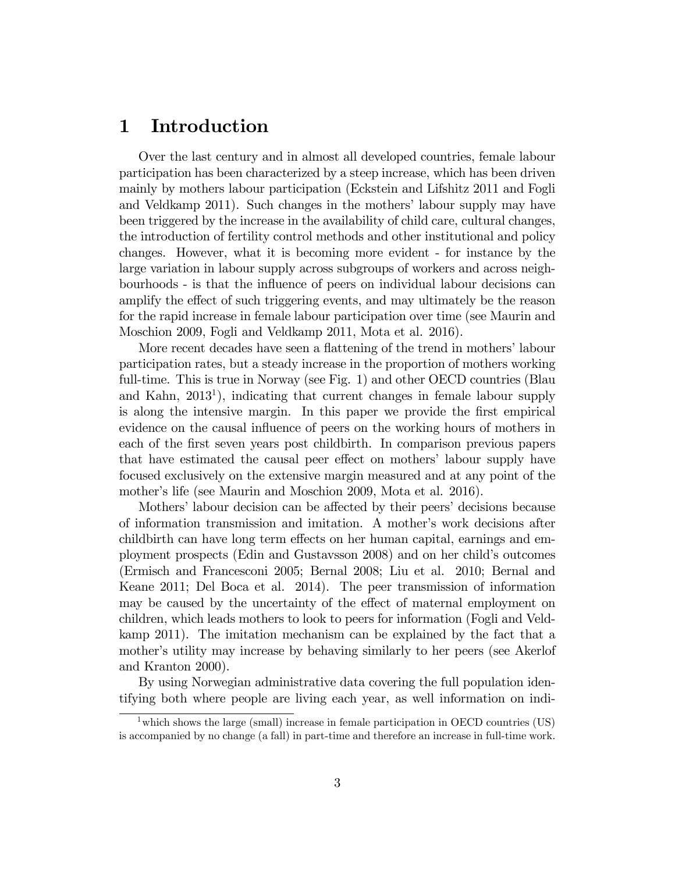#### 1 Introduction

Over the last century and in almost all developed countries, female labour participation has been characterized by a steep increase, which has been driven mainly by mothers labour participation (Eckstein and Lifshitz 2011 and Fogli and Veldkamp 2011). Such changes in the mothers' labour supply may have been triggered by the increase in the availability of child care, cultural changes, the introduction of fertility control methods and other institutional and policy changes. However, what it is becoming more evident - for instance by the large variation in labour supply across subgroups of workers and across neighbourhoods - is that the influence of peers on individual labour decisions can amplify the effect of such triggering events, and may ultimately be the reason for the rapid increase in female labour participation over time (see Maurin and Moschion 2009, Fogli and Veldkamp 2011, Mota et al. 2016).

More recent decades have seen a flattening of the trend in mothers' labour participation rates, but a steady increase in the proportion of mothers working full-time. This is true in Norway (see Fig. 1) and other OECD countries (Blau and Kahn, 2013<sup>1</sup>), indicating that current changes in female labour supply is along the intensive margin. In this paper we provide the first empirical evidence on the causal influence of peers on the working hours of mothers in each of the first seven years post childbirth. In comparison previous papers that have estimated the causal peer effect on mothers' labour supply have focused exclusively on the extensive margin measured and at any point of the mother's life (see Maurin and Moschion 2009, Mota et al. 2016).

Mothers' labour decision can be affected by their peers' decisions because of information transmission and imitation. A mother's work decisions after childbirth can have long term effects on her human capital, earnings and employment prospects (Edin and Gustavsson 2008) and on her child's outcomes (Ermisch and Francesconi 2005; Bernal 2008; Liu et al. 2010; Bernal and Keane 2011; Del Boca et al. 2014). The peer transmission of information may be caused by the uncertainty of the effect of maternal employment on children, which leads mothers to look to peers for information (Fogli and Veldkamp 2011). The imitation mechanism can be explained by the fact that a mother's utility may increase by behaving similarly to her peers (see Akerlof and Kranton 2000).

By using Norwegian administrative data covering the full population identifying both where people are living each year, as well information on indi-

<sup>&</sup>lt;sup>1</sup> which shows the large (small) increase in female participation in OECD countries (US) is accompanied by no change (a fall) in part-time and therefore an increase in full-time work.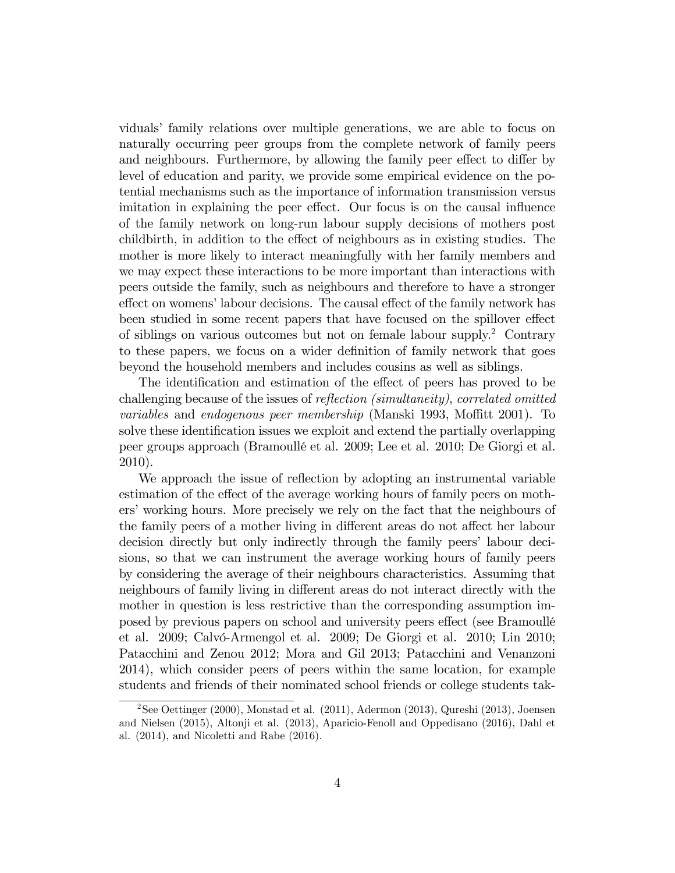vidualsí family relations over multiple generations, we are able to focus on naturally occurring peer groups from the complete network of family peers and neighbours. Furthermore, by allowing the family peer effect to differ by level of education and parity, we provide some empirical evidence on the potential mechanisms such as the importance of information transmission versus imitation in explaining the peer effect. Our focus is on the causal influence of the family network on long-run labour supply decisions of mothers post childbirth, in addition to the effect of neighbours as in existing studies. The mother is more likely to interact meaningfully with her family members and we may expect these interactions to be more important than interactions with peers outside the family, such as neighbours and therefore to have a stronger effect on womens' labour decisions. The causal effect of the family network has been studied in some recent papers that have focused on the spillover effect of siblings on various outcomes but not on female labour supply.<sup>2</sup> Contrary to these papers, we focus on a wider definition of family network that goes beyond the household members and includes cousins as well as siblings.

The identification and estimation of the effect of peers has proved to be challenging because of the issues of reflection (simultaneity), correlated omitted variables and endogenous peer membership (Manski 1993, Moffitt 2001). To solve these identification issues we exploit and extend the partially overlapping peer groups approach (BramoullÈ et al. 2009; Lee et al. 2010; De Giorgi et al. 2010).

We approach the issue of reflection by adopting an instrumental variable estimation of the effect of the average working hours of family peers on mothers' working hours. More precisely we rely on the fact that the neighbours of the family peers of a mother living in different areas do not affect her labour decision directly but only indirectly through the family peers' labour decisions, so that we can instrument the average working hours of family peers by considering the average of their neighbours characteristics. Assuming that neighbours of family living in different areas do not interact directly with the mother in question is less restrictive than the corresponding assumption imposed by previous papers on school and university peers effect (see Bramoullé et al. 2009; Calvó-Armengol et al. 2009; De Giorgi et al. 2010; Lin 2010; Patacchini and Zenou 2012; Mora and Gil 2013; Patacchini and Venanzoni 2014), which consider peers of peers within the same location, for example students and friends of their nominated school friends or college students tak-

<sup>2</sup>See Oettinger (2000), Monstad et al. (2011), Adermon (2013), Qureshi (2013), Joensen and Nielsen (2015), Altonji et al. (2013), Aparicio-Fenoll and Oppedisano (2016), Dahl et al. (2014), and Nicoletti and Rabe (2016).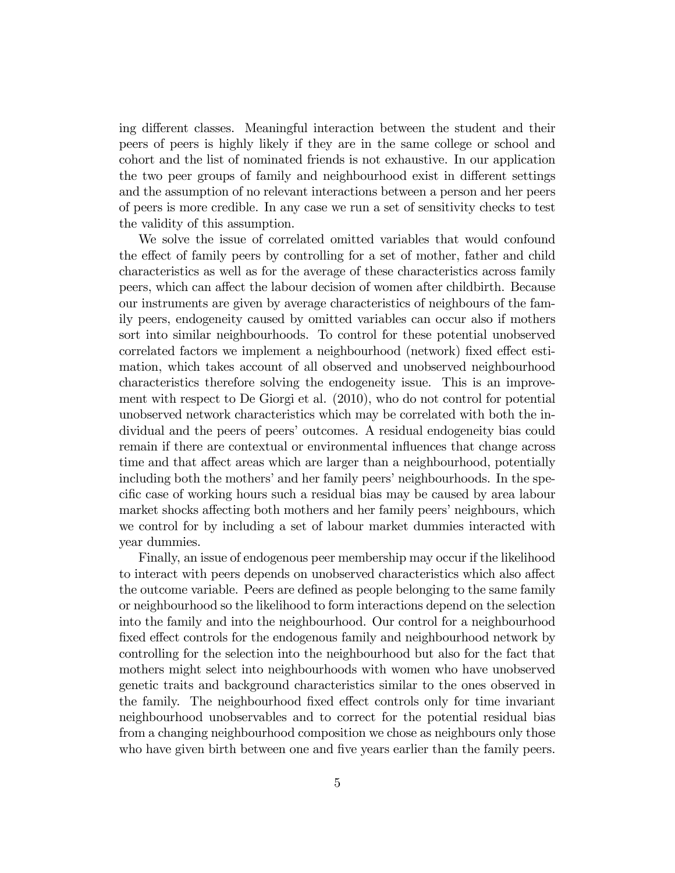ing different classes. Meaningful interaction between the student and their peers of peers is highly likely if they are in the same college or school and cohort and the list of nominated friends is not exhaustive. In our application the two peer groups of family and neighbourhood exist in different settings and the assumption of no relevant interactions between a person and her peers of peers is more credible. In any case we run a set of sensitivity checks to test the validity of this assumption.

We solve the issue of correlated omitted variables that would confound the effect of family peers by controlling for a set of mother, father and child characteristics as well as for the average of these characteristics across family peers, which can affect the labour decision of women after childbirth. Because our instruments are given by average characteristics of neighbours of the family peers, endogeneity caused by omitted variables can occur also if mothers sort into similar neighbourhoods. To control for these potential unobserved correlated factors we implement a neighbourhood (network) fixed effect estimation, which takes account of all observed and unobserved neighbourhood characteristics therefore solving the endogeneity issue. This is an improvement with respect to De Giorgi et al. (2010), who do not control for potential unobserved network characteristics which may be correlated with both the individual and the peers of peers' outcomes. A residual endogeneity bias could remain if there are contextual or environmental influences that change across time and that affect areas which are larger than a neighbourhood, potentially including both the mothers' and her family peers' neighbourhoods. In the specific case of working hours such a residual bias may be caused by area labour market shocks affecting both mothers and her family peers' neighbours, which we control for by including a set of labour market dummies interacted with year dummies.

Finally, an issue of endogenous peer membership may occur if the likelihood to interact with peers depends on unobserved characteristics which also affect the outcome variable. Peers are defined as people belonging to the same family or neighbourhood so the likelihood to form interactions depend on the selection into the family and into the neighbourhood. Our control for a neighbourhood fixed effect controls for the endogenous family and neighbourhood network by controlling for the selection into the neighbourhood but also for the fact that mothers might select into neighbourhoods with women who have unobserved genetic traits and background characteristics similar to the ones observed in the family. The neighbourhood fixed effect controls only for time invariant neighbourhood unobservables and to correct for the potential residual bias from a changing neighbourhood composition we chose as neighbours only those who have given birth between one and five years earlier than the family peers.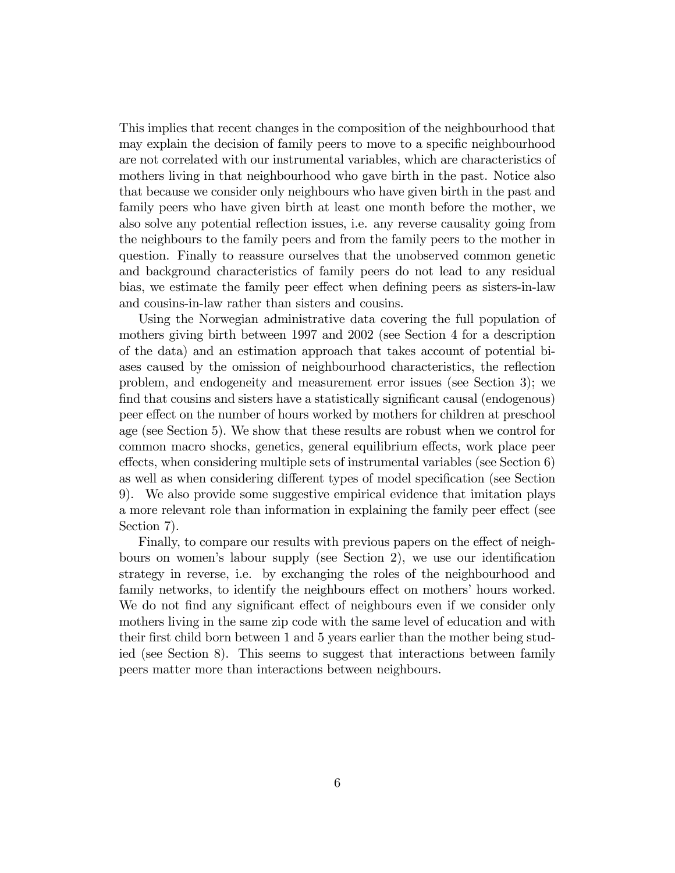This implies that recent changes in the composition of the neighbourhood that may explain the decision of family peers to move to a specific neighbourhood are not correlated with our instrumental variables, which are characteristics of mothers living in that neighbourhood who gave birth in the past. Notice also that because we consider only neighbours who have given birth in the past and family peers who have given birth at least one month before the mother, we also solve any potential reflection issues, i.e. any reverse causality going from the neighbours to the family peers and from the family peers to the mother in question. Finally to reassure ourselves that the unobserved common genetic and background characteristics of family peers do not lead to any residual bias, we estimate the family peer effect when defining peers as sisters-in-law and cousins-in-law rather than sisters and cousins.

Using the Norwegian administrative data covering the full population of mothers giving birth between 1997 and 2002 (see Section 4 for a description of the data) and an estimation approach that takes account of potential biases caused by the omission of neighbourhood characteristics, the reflection problem, and endogeneity and measurement error issues (see Section 3); we find that cousins and sisters have a statistically significant causal (endogenous) peer effect on the number of hours worked by mothers for children at preschool age (see Section 5). We show that these results are robust when we control for common macro shocks, genetics, general equilibrium effects, work place peer effects, when considering multiple sets of instrumental variables (see Section  $6$ ) as well as when considering different types of model specification (see Section 9). We also provide some suggestive empirical evidence that imitation plays a more relevant role than information in explaining the family peer effect (see Section 7).

Finally, to compare our results with previous papers on the effect of neighbours on women's labour supply (see Section 2), we use our identification strategy in reverse, i.e. by exchanging the roles of the neighbourhood and family networks, to identify the neighbours effect on mothers' hours worked. We do not find any significant effect of neighbours even if we consider only mothers living in the same zip code with the same level of education and with their first child born between 1 and 5 years earlier than the mother being studied (see Section 8). This seems to suggest that interactions between family peers matter more than interactions between neighbours.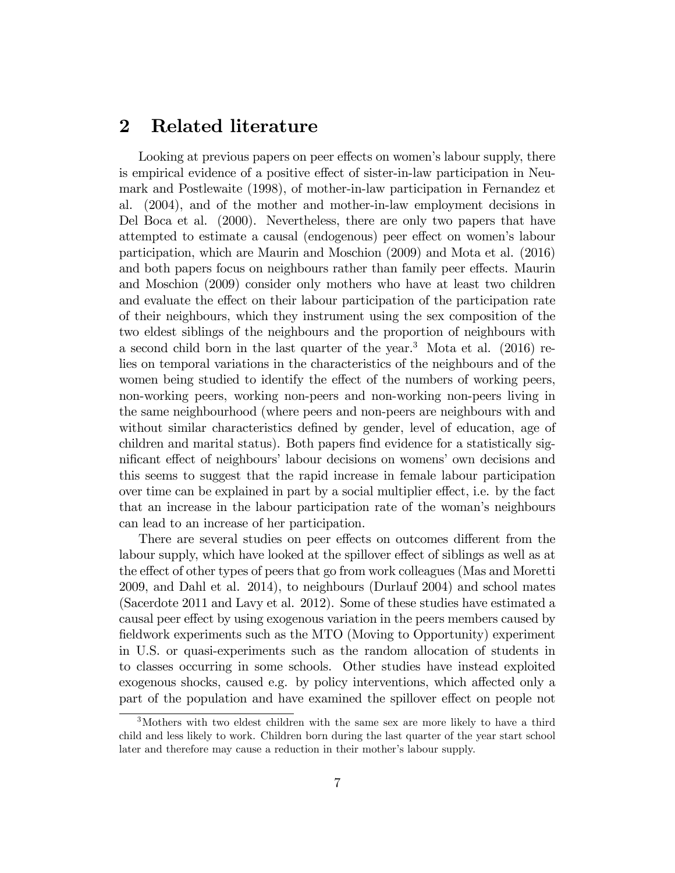#### 2 Related literature

Looking at previous papers on peer effects on women's labour supply, there is empirical evidence of a positive effect of sister-in-law participation in Neumark and Postlewaite (1998), of mother-in-law participation in Fernandez et al. (2004), and of the mother and mother-in-law employment decisions in Del Boca et al. (2000). Nevertheless, there are only two papers that have attempted to estimate a causal (endogenous) peer effect on women's labour participation, which are Maurin and Moschion (2009) and Mota et al. (2016) and both papers focus on neighbours rather than family peer effects. Maurin and Moschion (2009) consider only mothers who have at least two children and evaluate the effect on their labour participation of the participation rate of their neighbours, which they instrument using the sex composition of the two eldest siblings of the neighbours and the proportion of neighbours with a second child born in the last quarter of the year.<sup>3</sup> Mota et al.  $(2016)$  relies on temporal variations in the characteristics of the neighbours and of the women being studied to identify the effect of the numbers of working peers, non-working peers, working non-peers and non-working non-peers living in the same neighbourhood (where peers and non-peers are neighbours with and without similar characteristics defined by gender, level of education, age of children and marital status). Both papers find evidence for a statistically significant effect of neighbours' labour decisions on womens' own decisions and this seems to suggest that the rapid increase in female labour participation over time can be explained in part by a social multiplier effect, i.e. by the fact that an increase in the labour participation rate of the woman's neighbours can lead to an increase of her participation.

There are several studies on peer effects on outcomes different from the labour supply, which have looked at the spillover effect of siblings as well as at the effect of other types of peers that go from work colleagues (Mas and Moretti 2009, and Dahl et al. 2014), to neighbours (Durlauf 2004) and school mates (Sacerdote 2011 and Lavy et al. 2012). Some of these studies have estimated a causal peer effect by using exogenous variation in the peers members caused by fieldwork experiments such as the MTO (Moving to Opportunity) experiment in U.S. or quasi-experiments such as the random allocation of students in to classes occurring in some schools. Other studies have instead exploited exogenous shocks, caused e.g. by policy interventions, which affected only a part of the population and have examined the spillover effect on people not

<sup>&</sup>lt;sup>3</sup>Mothers with two eldest children with the same sex are more likely to have a third child and less likely to work. Children born during the last quarter of the year start school later and therefore may cause a reduction in their mother's labour supply.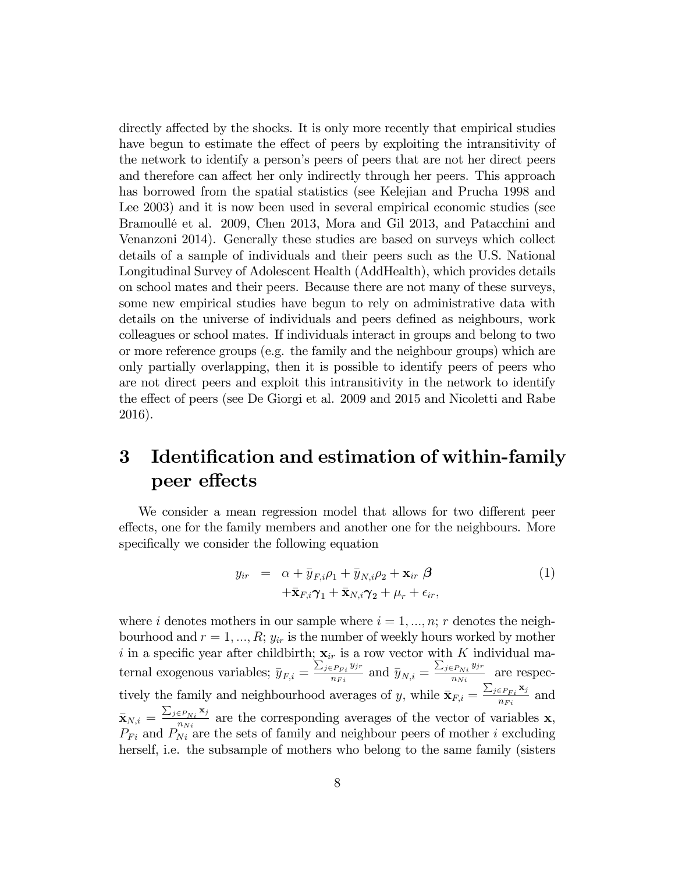directly affected by the shocks. It is only more recently that empirical studies have begun to estimate the effect of peers by exploiting the intransitivity of the network to identify a personís peers of peers that are not her direct peers and therefore can affect her only indirectly through her peers. This approach has borrowed from the spatial statistics (see Kelejian and Prucha 1998 and Lee 2003) and it is now been used in several empirical economic studies (see BramoullÈ et al. 2009, Chen 2013, Mora and Gil 2013, and Patacchini and Venanzoni 2014). Generally these studies are based on surveys which collect details of a sample of individuals and their peers such as the U.S. National Longitudinal Survey of Adolescent Health (AddHealth), which provides details on school mates and their peers. Because there are not many of these surveys, some new empirical studies have begun to rely on administrative data with details on the universe of individuals and peers defined as neighbours, work colleagues or school mates. If individuals interact in groups and belong to two or more reference groups (e.g. the family and the neighbour groups) which are only partially overlapping, then it is possible to identify peers of peers who are not direct peers and exploit this intransitivity in the network to identify the effect of peers (see De Giorgi et al. 2009 and 2015 and Nicoletti and Rabe 2016).

### 3 Identification and estimation of within-family peer effects

We consider a mean regression model that allows for two different peer effects, one for the family members and another one for the neighbours. More specifically we consider the following equation

$$
y_{ir} = \alpha + \bar{y}_{F,i}\rho_1 + \bar{y}_{N,i}\rho_2 + \mathbf{x}_{ir} \beta + \bar{\mathbf{x}}_{F,i}\gamma_1 + \bar{\mathbf{x}}_{N,i}\gamma_2 + \mu_r + \epsilon_{ir},
$$
\n(1)

where i denotes mothers in our sample where  $i = 1, ..., n; r$  denotes the neighbourhood and  $r = 1, ..., R$ ;  $y_{ir}$  is the number of weekly hours worked by mother i in a specific year after childbirth;  $\mathbf{x}_{ir}$  is a row vector with K individual maternal exogenous variables;  $\overline{y}_{F,i} = \frac{\sum_{j \in P_{Fi}} y_{jr}}{n_{Fi}}$  $\frac{p_{Fi} y_{jr}}{n_{Fi}}$  and  $\bar{y}_{N,i} = \frac{\sum_{j \in P_{Ni}} y_{jr}}{n_{Ni}}$  $\frac{P_{Ni}^{s}^{y}y^{r}}{n_{Ni}}$  are respectively the family and neighbourhood averages of y, while  $\overline{\mathbf{x}}_{F,i} = \frac{\sum_{j \in P_{Fi}} \mathbf{x}_j}{n_{Fi}}$  $\frac{\epsilon P_{Fi} \cdot \mathbf{r}_j}{n_{Fi}}$  and  $\bar{\mathbf{x}}_{N,i} = \frac{\sum_{j \in P_{Ni}} \mathbf{x}_j}{n_{Ni}}$  $\frac{E P_{Ni} N_i}{n_{Ni}}$  are the corresponding averages of the vector of variables **x**,  $P_{Fi}$  and  $P_{Ni}$  are the sets of family and neighbour peers of mother i excluding herself, i.e. the subsample of mothers who belong to the same family (sisters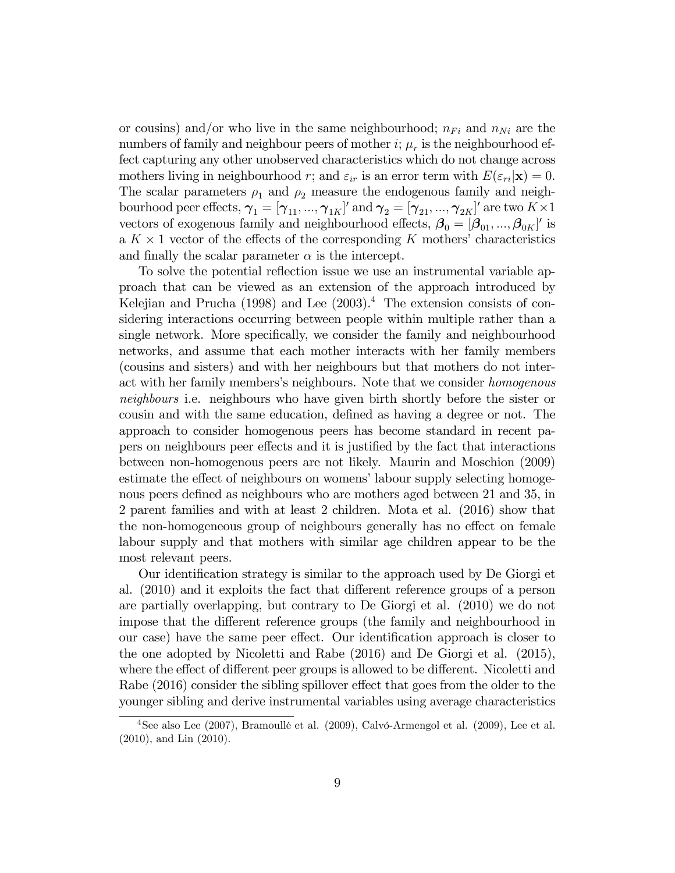or cousins) and/or who live in the same neighbourhood;  $n_{Fi}$  and  $n_{Ni}$  are the numbers of family and neighbour peers of mother  $i; \mu_r$  is the neighbourhood effect capturing any other unobserved characteristics which do not change across mothers living in neighbourhood r; and  $\varepsilon_{ir}$  is an error term with  $E(\varepsilon_{ri}|\mathbf{x}) = 0$ . The scalar parameters  $\rho_1$  and  $\rho_2$  measure the endogenous family and neighbourhood peer effects,  $\boldsymbol{\gamma}_1 = [\gamma_{11}, ..., \gamma_{1K}]'$  and  $\boldsymbol{\gamma}_2 = [\gamma_{21}, ..., \gamma_{2K}]'$  are two  $K \times 1$ vectors of exogenous family and neighbourhood effects,  $\boldsymbol{\beta}_0 = [\beta_{01}, ..., \beta_{0K}]'$  is a  $K \times 1$  vector of the effects of the corresponding K mothers' characteristics and finally the scalar parameter  $\alpha$  is the intercept.

To solve the potential reflection issue we use an instrumental variable approach that can be viewed as an extension of the approach introduced by Kelejian and Prucha  $(1998)$  and Lee  $(2003).<sup>4</sup>$  The extension consists of considering interactions occurring between people within multiple rather than a single network. More specifically, we consider the family and neighbourhood networks, and assume that each mother interacts with her family members (cousins and sisters) and with her neighbours but that mothers do not interact with her family members's neighbours. Note that we consider *homogenous* neighbours i.e. neighbours who have given birth shortly before the sister or cousin and with the same education, defined as having a degree or not. The approach to consider homogenous peers has become standard in recent papers on neighbours peer effects and it is justified by the fact that interactions between non-homogenous peers are not likely. Maurin and Moschion (2009) estimate the effect of neighbours on womens' labour supply selecting homogenous peers defined as neighbours who are mothers aged between 21 and 35, in 2 parent families and with at least 2 children. Mota et al. (2016) show that the non-homogeneous group of neighbours generally has no effect on female labour supply and that mothers with similar age children appear to be the most relevant peers.

Our identification strategy is similar to the approach used by De Giorgi et al.  $(2010)$  and it exploits the fact that different reference groups of a person are partially overlapping, but contrary to De Giorgi et al. (2010) we do not impose that the different reference groups (the family and neighbourhood in our case) have the same peer effect. Our identification approach is closer to the one adopted by Nicoletti and Rabe (2016) and De Giorgi et al. (2015), where the effect of different peer groups is allowed to be different. Nicoletti and Rabe  $(2016)$  consider the sibling spillover effect that goes from the older to the younger sibling and derive instrumental variables using average characteristics

 $4$ See also Lee (2007), Bramoullé et al. (2009), Calvó-Armengol et al. (2009), Lee et al. (2010), and Lin (2010).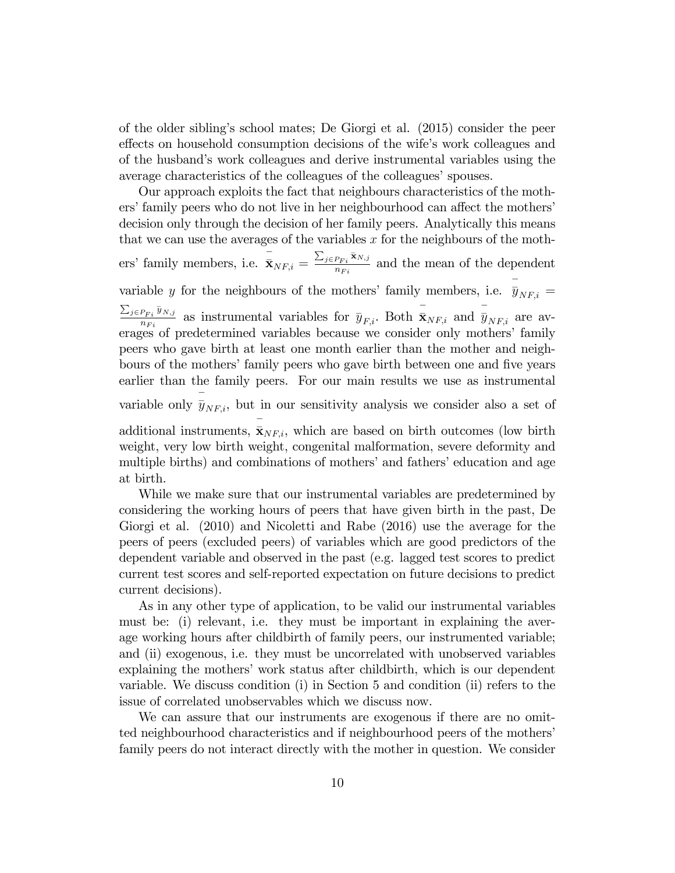of the older siblingís school mates; De Giorgi et al. (2015) consider the peer effects on household consumption decisions of the wife's work colleagues and of the husband's work colleagues and derive instrumental variables using the average characteristics of the colleagues of the colleagues' spouses.

Our approach exploits the fact that neighbours characteristics of the mothers' family peers who do not live in her neighbourhood can affect the mothers' decision only through the decision of her family peers. Analytically this means that we can use the averages of the variables x for the neighbours of the mothers' family members, i.e.  $\bar{\mathbf{x}}_{NF,i} = \frac{\sum_{j \in P_{Fi}}}{n_F}$  $\bar{\mathbf{x}}_{N,j}$  $\frac{\rho_{Fi} \cdot \alpha_{N,j}}{n_{Fi}}$  and the mean of the dependent variable y for the neighbours of the mothers' family members, i.e.  $\bar{y}_{NF,i} =$  $\sum_{j \in P_{Fi}}$  $\overline{y}_{N,j}$  $\frac{P_{Fi} \bar{y}_{N,j}}{n_{Fi}}$  as instrumental variables for  $\bar{y}_{F,i}$ . Both  $\bar{\bar{x}}_{NF,i}$  and  $\bar{\bar{y}}_{NF,i}$  are averages of predetermined variables because we consider only mothers' family peers who gave birth at least one month earlier than the mother and neighbours of the mothers' family peers who gave birth between one and five years earlier than the family peers. For our main results we use as instrumental variable only  $\bar{\bar{y}}_{NF,i}$ , but in our sensitivity analysis we consider also a set of additional instruments,  $\bar{\mathbf{x}}_{NF,i}$ , which are based on birth outcomes (low birth weight, very low birth weight, congenital malformation, severe deformity and multiple births) and combinations of mothers' and fathers' education and age

While we make sure that our instrumental variables are predetermined by considering the working hours of peers that have given birth in the past, De Giorgi et al. (2010) and Nicoletti and Rabe (2016) use the average for the peers of peers (excluded peers) of variables which are good predictors of the dependent variable and observed in the past (e.g. lagged test scores to predict current test scores and self-reported expectation on future decisions to predict current decisions).

at birth.

As in any other type of application, to be valid our instrumental variables must be: (i) relevant, i.e. they must be important in explaining the average working hours after childbirth of family peers, our instrumented variable; and (ii) exogenous, i.e. they must be uncorrelated with unobserved variables explaining the mothers' work status after childbirth, which is our dependent variable. We discuss condition (i) in Section 5 and condition (ii) refers to the issue of correlated unobservables which we discuss now.

We can assure that our instruments are exogenous if there are no omitted neighbourhood characteristics and if neighbourhood peers of the mothers' family peers do not interact directly with the mother in question. We consider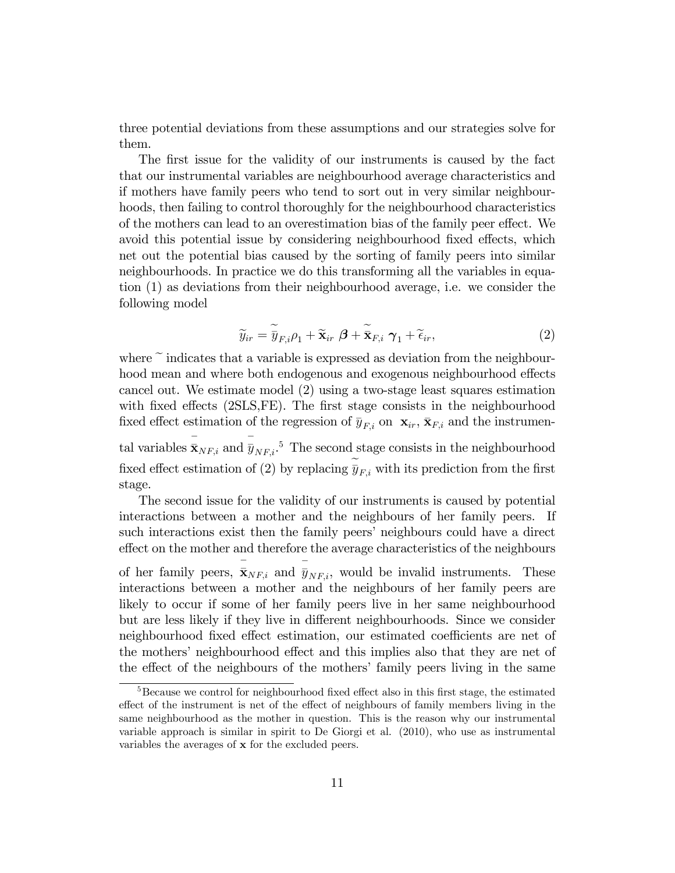three potential deviations from these assumptions and our strategies solve for them.

The first issue for the validity of our instruments is caused by the fact that our instrumental variables are neighbourhood average characteristics and if mothers have family peers who tend to sort out in very similar neighbourhoods, then failing to control thoroughly for the neighbourhood characteristics of the mothers can lead to an overestimation bias of the family peer effect. We avoid this potential issue by considering neighbourhood fixed effects, which net out the potential bias caused by the sorting of family peers into similar neighbourhoods. In practice we do this transforming all the variables in equation (1) as deviations from their neighbourhood average, i.e. we consider the following model

$$
\widetilde{y}_{ir} = \widetilde{\overline{y}}_{F,i}\rho_1 + \widetilde{\mathbf{x}}_{ir}\ \boldsymbol{\beta} + \widetilde{\overline{\mathbf{x}}}_{F,i}\ \boldsymbol{\gamma}_1 + \widetilde{\epsilon}_{ir},\tag{2}
$$

where  $\tilde{ }$  indicates that a variable is expressed as deviation from the neighbourhood mean and where both endogenous and exogenous neighbourhood effects cancel out. We estimate model (2) using a two-stage least squares estimation with fixed effects  $(2SLS, FE)$ . The first stage consists in the neighbourhood fixed effect estimation of the regression of  $\bar{y}_{F,i}$  on  $\mathbf{x}_{ir}$ ,  $\bar{\mathbf{x}}_{F,i}$  and the instrumen-

tal variables  $\bar{\mathbf{x}}_{NF,i}$  and  $\bar{y}_{NF,i}$ .<sup>5</sup> The second stage consists in the neighbourhood fixed effect estimation of (2) by replacing  $\widetilde{\overline{y}}_{F,i}$  with its prediction from the first stage.

The second issue for the validity of our instruments is caused by potential interactions between a mother and the neighbours of her family peers. If such interactions exist then the family peers' neighbours could have a direct effect on the mother and therefore the average characteristics of the neighbours of her family peers,  $\overline{\mathbf{\bar{x}}}_{NF,i}$  and  $\overline{\mathbf{\bar{y}}}_{NF,i}$ , would be invalid instruments. These interactions between a mother and the neighbours of her family peers are likely to occur if some of her family peers live in her same neighbourhood but are less likely if they live in different neighbourhoods. Since we consider neighbourhood fixed effect estimation, our estimated coefficients are net of the mothers' neighbourhood effect and this implies also that they are net of the effect of the neighbours of the mothers' family peers living in the same

 $5B$ ecause we control for neighbourhood fixed effect also in this first stage, the estimated effect of the instrument is net of the effect of neighbours of family members living in the same neighbourhood as the mother in question. This is the reason why our instrumental variable approach is similar in spirit to De Giorgi et al. (2010), who use as instrumental variables the averages of x for the excluded peers.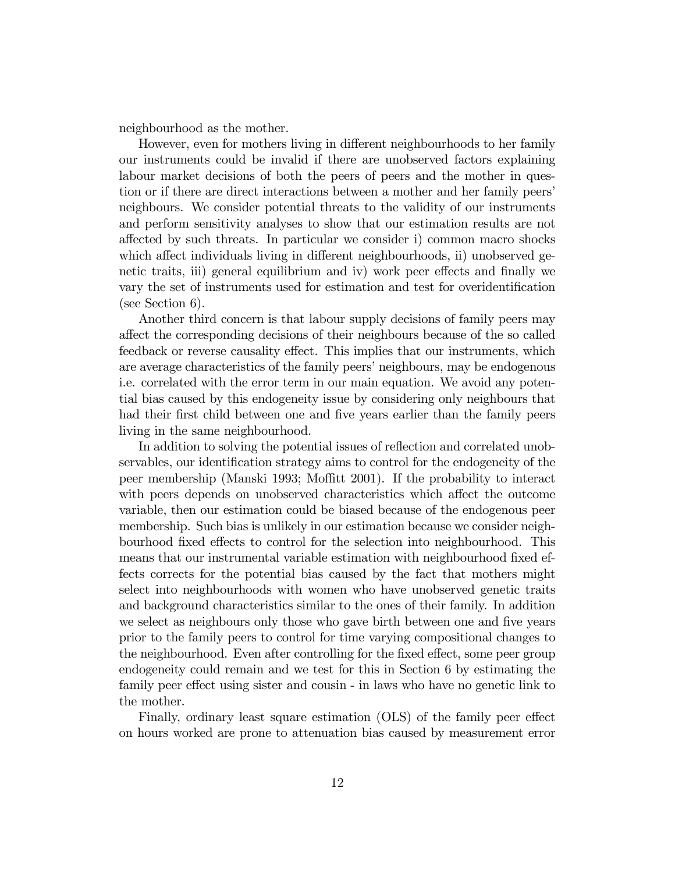neighbourhood as the mother.

However, even for mothers living in different neighbourhoods to her family our instruments could be invalid if there are unobserved factors explaining labour market decisions of both the peers of peers and the mother in question or if there are direct interactions between a mother and her family peers' neighbours. We consider potential threats to the validity of our instruments and perform sensitivity analyses to show that our estimation results are not a§ected by such threats. In particular we consider i) common macro shocks which affect individuals living in different neighbourhoods, ii) unobserved genetic traits, iii) general equilibrium and iv) work peer effects and finally we vary the set of instruments used for estimation and test for overidentification (see Section 6).

Another third concern is that labour supply decisions of family peers may a§ect the corresponding decisions of their neighbours because of the so called feedback or reverse causality effect. This implies that our instruments, which are average characteristics of the family peers' neighbours, may be endogenous i.e. correlated with the error term in our main equation. We avoid any potential bias caused by this endogeneity issue by considering only neighbours that had their first child between one and five years earlier than the family peers living in the same neighbourhood.

In addition to solving the potential issues of reflection and correlated unobservables, our identification strategy aims to control for the endogeneity of the peer membership (Manski 1993; Moffitt 2001). If the probability to interact with peers depends on unobserved characteristics which affect the outcome variable, then our estimation could be biased because of the endogenous peer membership. Such bias is unlikely in our estimation because we consider neighbourhood fixed effects to control for the selection into neighbourhood. This means that our instrumental variable estimation with neighbourhood fixed effects corrects for the potential bias caused by the fact that mothers might select into neighbourhoods with women who have unobserved genetic traits and background characteristics similar to the ones of their family. In addition we select as neighbours only those who gave birth between one and five years prior to the family peers to control for time varying compositional changes to the neighbourhood. Even after controlling for the fixed effect, some peer group endogeneity could remain and we test for this in Section 6 by estimating the family peer effect using sister and cousin - in laws who have no genetic link to the mother.

Finally, ordinary least square estimation (OLS) of the family peer effect on hours worked are prone to attenuation bias caused by measurement error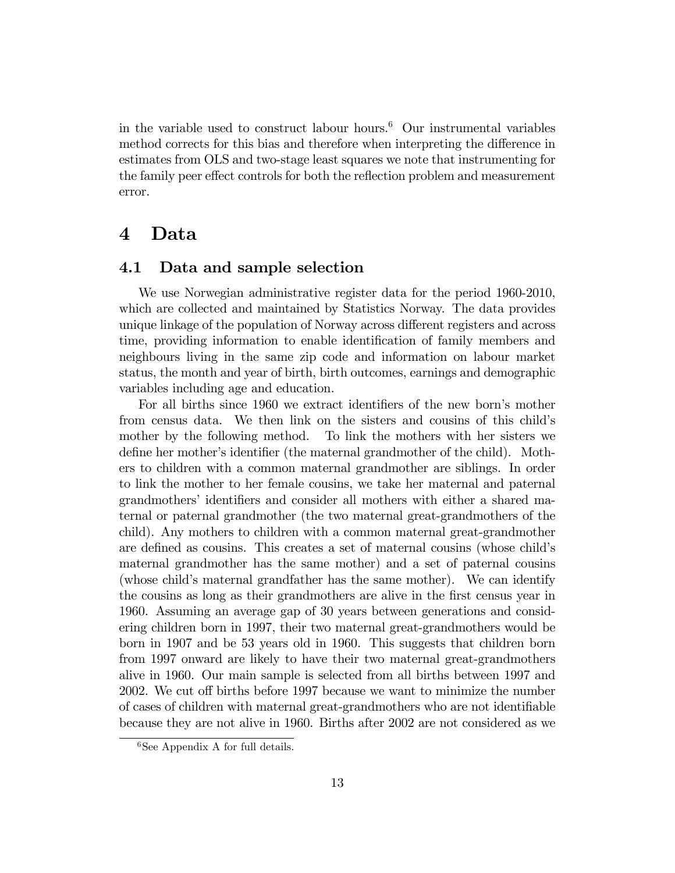in the variable used to construct labour hours.<sup>6</sup> Our instrumental variables method corrects for this bias and therefore when interpreting the difference in estimates from OLS and two-stage least squares we note that instrumenting for the family peer effect controls for both the reflection problem and measurement error.

#### 4 Data

#### 4.1 Data and sample selection

We use Norwegian administrative register data for the period 1960-2010, which are collected and maintained by Statistics Norway. The data provides unique linkage of the population of Norway across different registers and across time, providing information to enable identification of family members and neighbours living in the same zip code and information on labour market status, the month and year of birth, birth outcomes, earnings and demographic variables including age and education.

For all births since 1960 we extract identifiers of the new born's mother from census data. We then link on the sisters and cousins of this child's mother by the following method. To link the mothers with her sisters we define her mother's identifier (the maternal grandmother of the child). Mothers to children with a common maternal grandmother are siblings. In order to link the mother to her female cousins, we take her maternal and paternal grandmothers' identifiers and consider all mothers with either a shared maternal or paternal grandmother (the two maternal great-grandmothers of the child). Any mothers to children with a common maternal great-grandmother are defined as cousins. This creates a set of maternal cousins (whose child's maternal grandmother has the same mother) and a set of paternal cousins (whose child's maternal grandfather has the same mother). We can identify the cousins as long as their grandmothers are alive in the Örst census year in 1960. Assuming an average gap of 30 years between generations and considering children born in 1997, their two maternal great-grandmothers would be born in 1907 and be 53 years old in 1960. This suggests that children born from 1997 onward are likely to have their two maternal great-grandmothers alive in 1960. Our main sample is selected from all births between 1997 and 2002. We cut off births before 1997 because we want to minimize the number of cases of children with maternal great-grandmothers who are not identifiable because they are not alive in 1960. Births after 2002 are not considered as we

 $6$ See Appendix A for full details.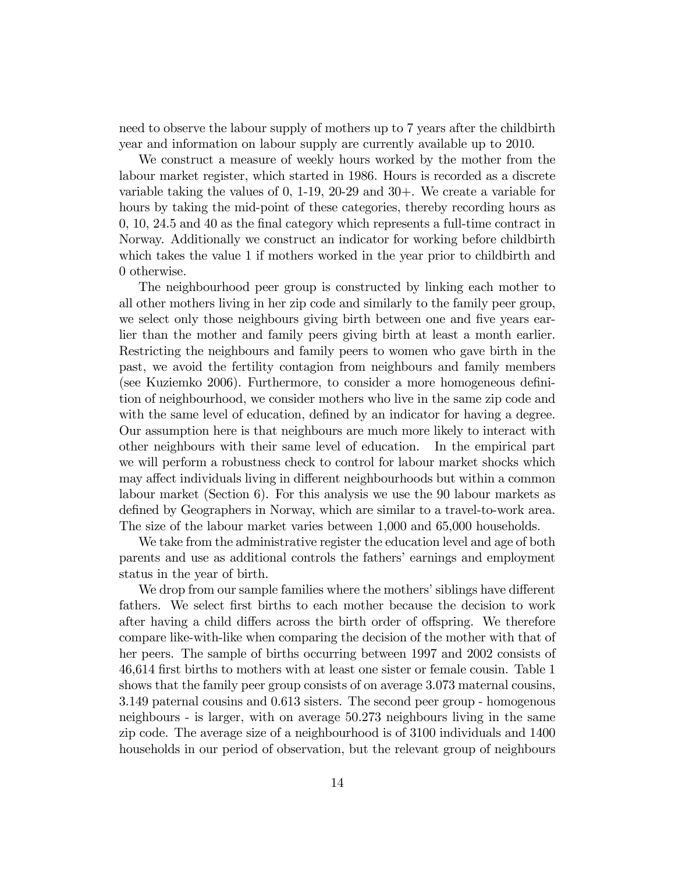need to observe the labour supply of mothers up to 7 years after the childbirth year and information on labour supply are currently available up to 2010.

We construct a measure of weekly hours worked by the mother from the labour market register, which started in 1986. Hours is recorded as a discrete variable taking the values of 0, 1-19, 20-29 and 30+. We create a variable for hours by taking the mid-point of these categories, thereby recording hours as 0, 10, 24.5 and 40 as the Önal category which represents a full-time contract in Norway. Additionally we construct an indicator for working before childbirth which takes the value 1 if mothers worked in the year prior to childbirth and 0 otherwise.

The neighbourhood peer group is constructed by linking each mother to all other mothers living in her zip code and similarly to the family peer group, we select only those neighbours giving birth between one and five years earlier than the mother and family peers giving birth at least a month earlier. Restricting the neighbours and family peers to women who gave birth in the past, we avoid the fertility contagion from neighbours and family members (see Kuziemko 2006). Furthermore, to consider a more homogeneous definition of neighbourhood, we consider mothers who live in the same zip code and with the same level of education, defined by an indicator for having a degree. Our assumption here is that neighbours are much more likely to interact with other neighbours with their same level of education. In the empirical part we will perform a robustness check to control for labour market shocks which may affect individuals living in different neighbourhoods but within a common labour market (Section 6). For this analysis we use the 90 labour markets as defined by Geographers in Norway, which are similar to a travel-to-work area. The size of the labour market varies between 1,000 and 65,000 households.

We take from the administrative register the education level and age of both parents and use as additional controls the fathers' earnings and employment status in the year of birth.

We drop from our sample families where the mothers' siblings have different fathers. We select first births to each mother because the decision to work after having a child differs across the birth order of offspring. We therefore compare like-with-like when comparing the decision of the mother with that of her peers. The sample of births occurring between 1997 and 2002 consists of 46,614 Örst births to mothers with at least one sister or female cousin. Table 1 shows that the family peer group consists of on average 3.073 maternal cousins, 3.149 paternal cousins and 0.613 sisters. The second peer group - homogenous neighbours - is larger, with on average 50.273 neighbours living in the same zip code. The average size of a neighbourhood is of 3100 individuals and 1400 households in our period of observation, but the relevant group of neighbours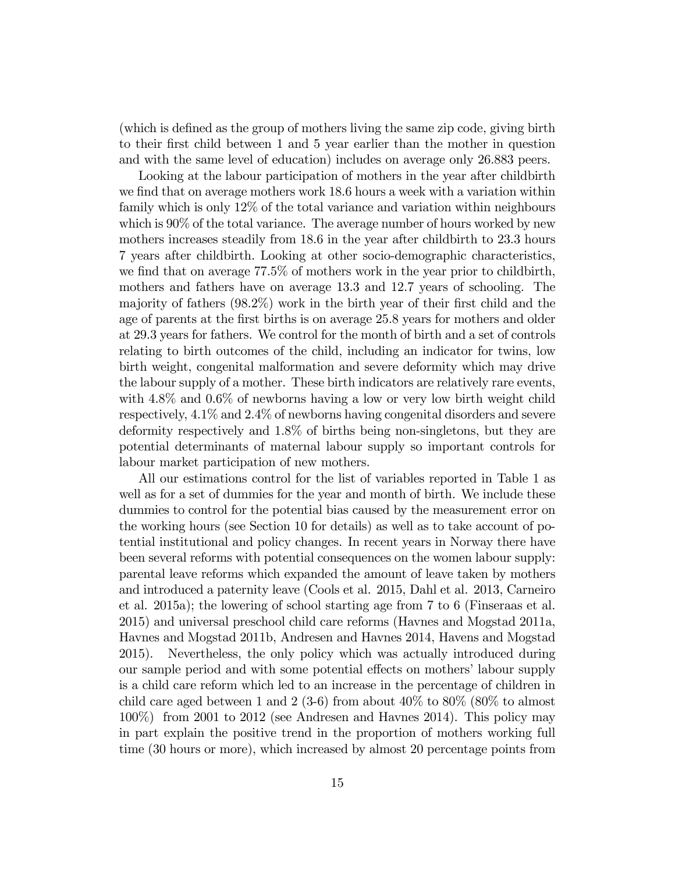(which is defined as the group of mothers living the same zip code, giving birth to their Örst child between 1 and 5 year earlier than the mother in question and with the same level of education) includes on average only 26.883 peers.

Looking at the labour participation of mothers in the year after childbirth we find that on average mothers work 18.6 hours a week with a variation within family which is only 12% of the total variance and variation within neighbours which is  $90\%$  of the total variance. The average number of hours worked by new mothers increases steadily from 18.6 in the year after childbirth to 23.3 hours 7 years after childbirth. Looking at other socio-demographic characteristics, we find that on average 77.5% of mothers work in the year prior to childbirth, mothers and fathers have on average 13.3 and 12.7 years of schooling. The majority of fathers  $(98.2\%)$  work in the birth year of their first child and the age of parents at the first births is on average 25.8 years for mothers and older at 29.3 years for fathers. We control for the month of birth and a set of controls relating to birth outcomes of the child, including an indicator for twins, low birth weight, congenital malformation and severe deformity which may drive the labour supply of a mother. These birth indicators are relatively rare events, with  $4.8\%$  and  $0.6\%$  of newborns having a low or very low birth weight child respectively, 4.1% and 2.4% of newborns having congenital disorders and severe deformity respectively and 1.8% of births being non-singletons, but they are potential determinants of maternal labour supply so important controls for labour market participation of new mothers.

All our estimations control for the list of variables reported in Table 1 as well as for a set of dummies for the year and month of birth. We include these dummies to control for the potential bias caused by the measurement error on the working hours (see Section 10 for details) as well as to take account of potential institutional and policy changes. In recent years in Norway there have been several reforms with potential consequences on the women labour supply: parental leave reforms which expanded the amount of leave taken by mothers and introduced a paternity leave (Cools et al. 2015, Dahl et al. 2013, Carneiro et al. 2015a); the lowering of school starting age from 7 to 6 (Finseraas et al. 2015) and universal preschool child care reforms (Havnes and Mogstad 2011a, Havnes and Mogstad 2011b, Andresen and Havnes 2014, Havens and Mogstad 2015). Nevertheless, the only policy which was actually introduced during our sample period and with some potential effects on mothers' labour supply is a child care reform which led to an increase in the percentage of children in child care aged between 1 and 2 (3-6) from about  $40\%$  to  $80\%$  ( $80\%$  to almost 100%) from 2001 to 2012 (see Andresen and Havnes 2014). This policy may in part explain the positive trend in the proportion of mothers working full time (30 hours or more), which increased by almost 20 percentage points from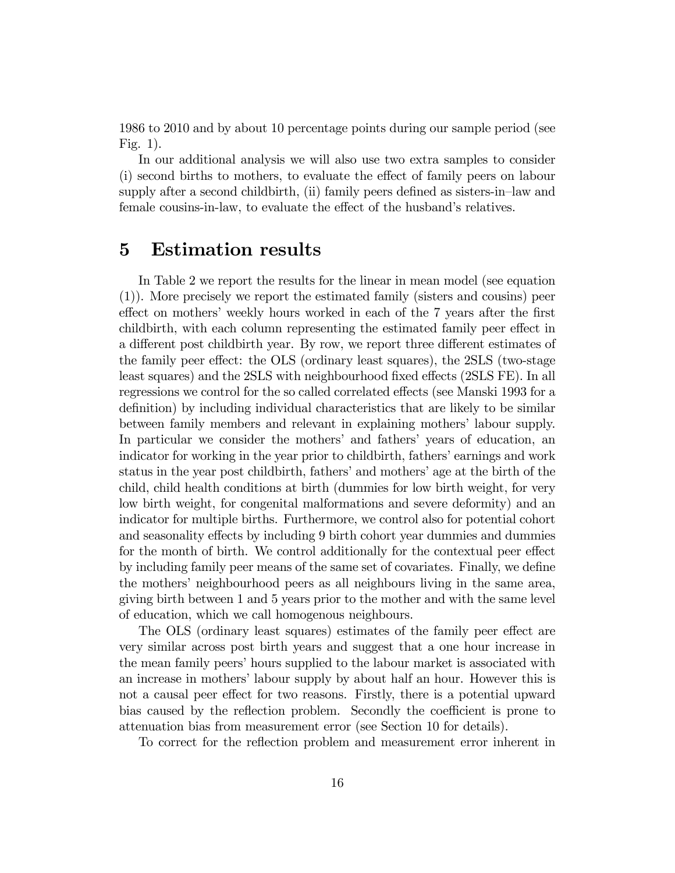1986 to 2010 and by about 10 percentage points during our sample period (see Fig. 1).

In our additional analysis we will also use two extra samples to consider (i) second births to mothers, to evaluate the effect of family peers on labour supply after a second childbirth, (ii) family peers defined as sisters-in-law and female cousins-in-law, to evaluate the effect of the husband's relatives.

### 5 Estimation results

In Table 2 we report the results for the linear in mean model (see equation (1)). More precisely we report the estimated family (sisters and cousins) peer effect on mothers' weekly hours worked in each of the 7 years after the first childbirth, with each column representing the estimated family peer effect in a different post childbirth year. By row, we report three different estimates of the family peer effect: the OLS (ordinary least squares), the 2SLS (two-stage least squares) and the 2SLS with neighbourhood fixed effects (2SLS FE). In all regressions we control for the so called correlated effects (see Manski 1993 for a definition) by including individual characteristics that are likely to be similar between family members and relevant in explaining mothers' labour supply. In particular we consider the mothers' and fathers' years of education, an indicator for working in the year prior to childbirth, fathers' earnings and work status in the year post childbirth, fathers' and mothers' age at the birth of the child, child health conditions at birth (dummies for low birth weight, for very low birth weight, for congenital malformations and severe deformity) and an indicator for multiple births. Furthermore, we control also for potential cohort and seasonality effects by including 9 birth cohort year dummies and dummies for the month of birth. We control additionally for the contextual peer effect by including family peer means of the same set of covariates. Finally, we define the mothers' neighbourhood peers as all neighbours living in the same area, giving birth between 1 and 5 years prior to the mother and with the same level of education, which we call homogenous neighbours.

The OLS (ordinary least squares) estimates of the family peer effect are very similar across post birth years and suggest that a one hour increase in the mean family peers' hours supplied to the labour market is associated with an increase in mothers' labour supply by about half an hour. However this is not a causal peer effect for two reasons. Firstly, there is a potential upward bias caused by the reflection problem. Secondly the coefficient is prone to attenuation bias from measurement error (see Section 10 for details).

To correct for the reflection problem and measurement error inherent in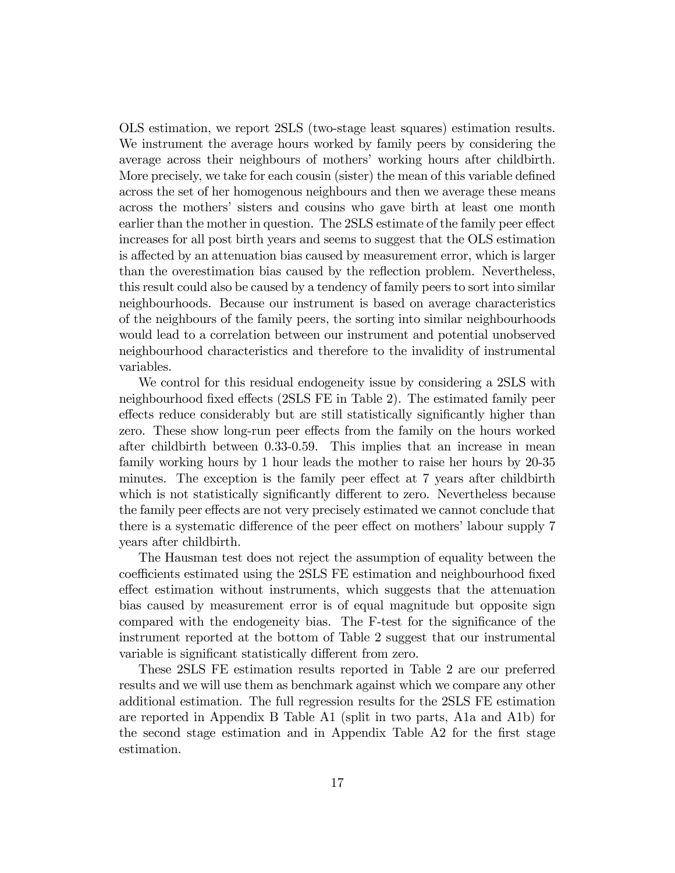OLS estimation, we report 2SLS (two-stage least squares) estimation results. We instrument the average hours worked by family peers by considering the average across their neighbours of mothersí working hours after childbirth. More precisely, we take for each cousin (sister) the mean of this variable defined across the set of her homogenous neighbours and then we average these means across the mothersí sisters and cousins who gave birth at least one month earlier than the mother in question. The 2SLS estimate of the family peer effect increases for all post birth years and seems to suggest that the OLS estimation is affected by an attenuation bias caused by measurement error, which is larger than the overestimation bias caused by the reflection problem. Nevertheless, this result could also be caused by a tendency of family peers to sort into similar neighbourhoods. Because our instrument is based on average characteristics of the neighbours of the family peers, the sorting into similar neighbourhoods would lead to a correlation between our instrument and potential unobserved neighbourhood characteristics and therefore to the invalidity of instrumental variables.

We control for this residual endogeneity issue by considering a 2SLS with neighbourhood fixed effects (2SLS FE in Table 2). The estimated family peer effects reduce considerably but are still statistically significantly higher than zero. These show long-run peer effects from the family on the hours worked after childbirth between 0.33-0.59. This implies that an increase in mean family working hours by 1 hour leads the mother to raise her hours by 20-35 minutes. The exception is the family peer effect at 7 years after childbirth which is not statistically significantly different to zero. Nevertheless because the family peer effects are not very precisely estimated we cannot conclude that there is a systematic difference of the peer effect on mothers' labour supply 7 years after childbirth.

The Hausman test does not reject the assumption of equality between the coefficients estimated using the 2SLS FE estimation and neighbourhood fixed effect estimation without instruments, which suggests that the attenuation bias caused by measurement error is of equal magnitude but opposite sign compared with the endogeneity bias. The F-test for the significance of the instrument reported at the bottom of Table 2 suggest that our instrumental variable is significant statistically different from zero.

These 2SLS FE estimation results reported in Table 2 are our preferred results and we will use them as benchmark against which we compare any other additional estimation. The full regression results for the 2SLS FE estimation are reported in Appendix B Table A1 (split in two parts, A1a and A1b) for the second stage estimation and in Appendix Table A2 for the first stage estimation.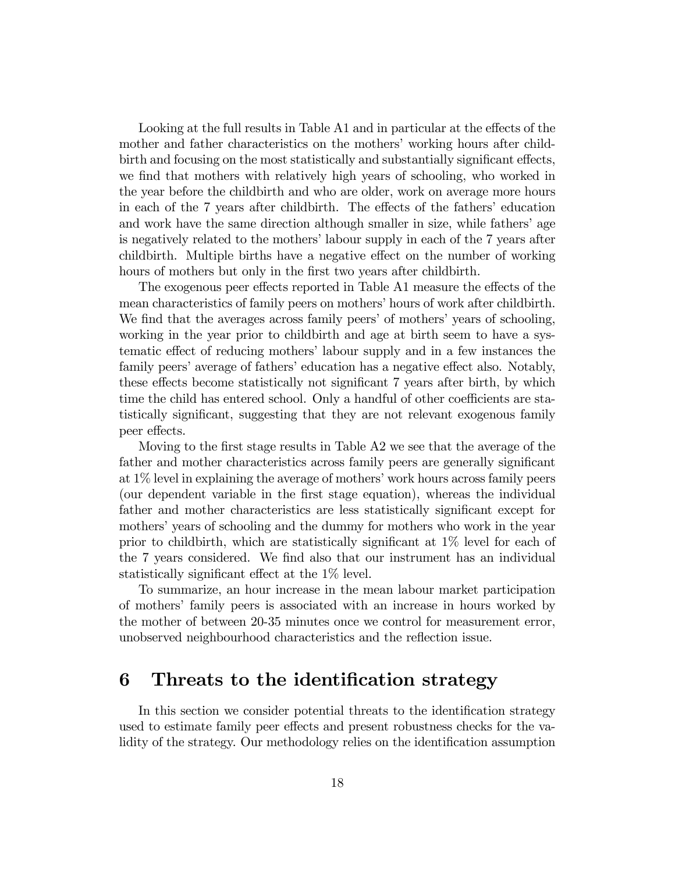Looking at the full results in Table A1 and in particular at the effects of the mother and father characteristics on the mothers' working hours after childbirth and focusing on the most statistically and substantially significant effects, we find that mothers with relatively high years of schooling, who worked in the year before the childbirth and who are older, work on average more hours in each of the 7 years after childbirth. The effects of the fathers' education and work have the same direction although smaller in size, while fathers' age is negatively related to the mothers' labour supply in each of the 7 years after childbirth. Multiple births have a negative effect on the number of working hours of mothers but only in the first two years after childbirth.

The exogenous peer effects reported in Table A1 measure the effects of the mean characteristics of family peers on mothers' hours of work after childbirth. We find that the averages across family peers' of mothers' years of schooling, working in the year prior to childbirth and age at birth seem to have a systematic effect of reducing mothers' labour supply and in a few instances the family peers' average of fathers' education has a negative effect also. Notably, these effects become statistically not significant 7 years after birth, by which time the child has entered school. Only a handful of other coefficients are statistically significant, suggesting that they are not relevant exogenous family peer effects.

Moving to the first stage results in Table  $A2$  we see that the average of the father and mother characteristics across family peers are generally significant at  $1\%$  level in explaining the average of mothers' work hours across family peers (our dependent variable in the Örst stage equation), whereas the individual father and mother characteristics are less statistically significant except for mothers' years of schooling and the dummy for mothers who work in the year prior to childbirth, which are statistically significant at  $1\%$  level for each of the 7 years considered. We Önd also that our instrument has an individual statistically significant effect at the  $1\%$  level.

To summarize, an hour increase in the mean labour market participation of mothersí family peers is associated with an increase in hours worked by the mother of between 20-35 minutes once we control for measurement error, unobserved neighbourhood characteristics and the reflection issue.

#### 6 Threats to the identification strategy

In this section we consider potential threats to the identification strategy used to estimate family peer effects and present robustness checks for the validity of the strategy. Our methodology relies on the identification assumption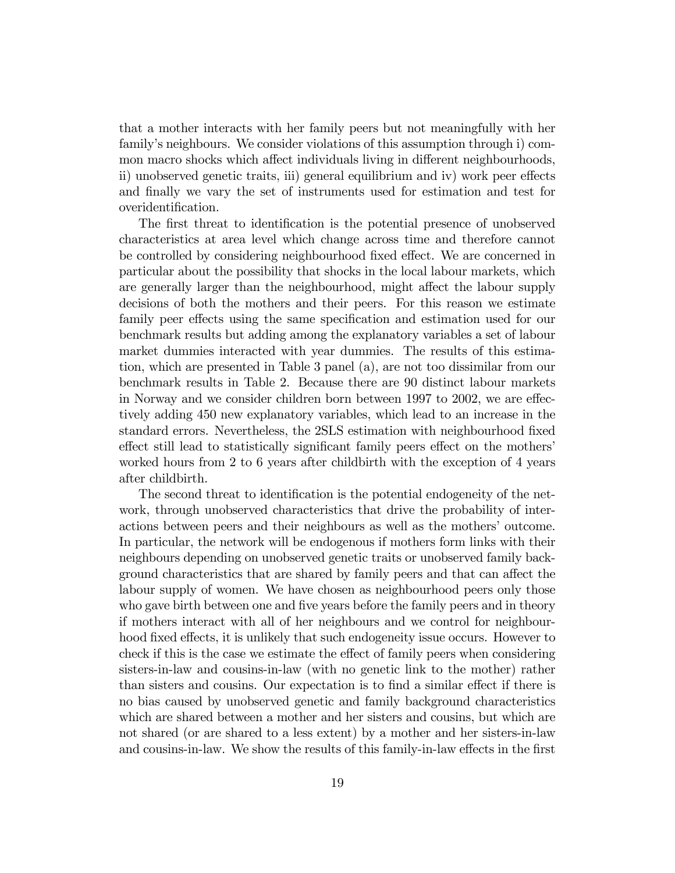that a mother interacts with her family peers but not meaningfully with her family's neighbours. We consider violations of this assumption through i) common macro shocks which affect individuals living in different neighbourhoods, ii) unobserved genetic traits, iii) general equilibrium and iv) work peer effects and finally we vary the set of instruments used for estimation and test for overidentification.

The first threat to identification is the potential presence of unobserved characteristics at area level which change across time and therefore cannot be controlled by considering neighbourhood fixed effect. We are concerned in particular about the possibility that shocks in the local labour markets, which are generally larger than the neighbourhood, might affect the labour supply decisions of both the mothers and their peers. For this reason we estimate family peer effects using the same specification and estimation used for our benchmark results but adding among the explanatory variables a set of labour market dummies interacted with year dummies. The results of this estimation, which are presented in Table 3 panel (a), are not too dissimilar from our benchmark results in Table 2. Because there are 90 distinct labour markets in Norway and we consider children born between 1997 to 2002, we are effectively adding 450 new explanatory variables, which lead to an increase in the standard errors. Nevertheless, the 2SLS estimation with neighbourhood fixed effect still lead to statistically significant family peers effect on the mothers' worked hours from 2 to 6 years after childbirth with the exception of 4 years after childbirth.

The second threat to identification is the potential endogeneity of the network, through unobserved characteristics that drive the probability of interactions between peers and their neighbours as well as the mothers' outcome. In particular, the network will be endogenous if mothers form links with their neighbours depending on unobserved genetic traits or unobserved family background characteristics that are shared by family peers and that can affect the labour supply of women. We have chosen as neighbourhood peers only those who gave birth between one and five years before the family peers and in theory if mothers interact with all of her neighbours and we control for neighbourhood fixed effects, it is unlikely that such endogeneity issue occurs. However to check if this is the case we estimate the effect of family peers when considering sisters-in-law and cousins-in-law (with no genetic link to the mother) rather than sisters and cousins. Our expectation is to find a similar effect if there is no bias caused by unobserved genetic and family background characteristics which are shared between a mother and her sisters and cousins, but which are not shared (or are shared to a less extent) by a mother and her sisters-in-law and cousins-in-law. We show the results of this family-in-law effects in the first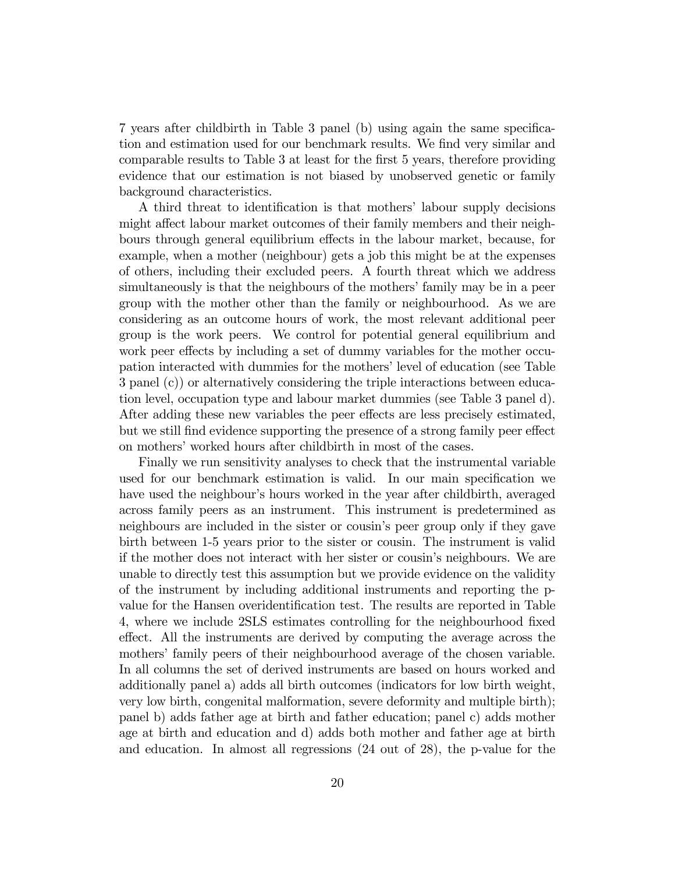7 years after childbirth in Table 3 panel (b) using again the same specification and estimation used for our benchmark results. We find very similar and comparable results to Table 3 at least for the first 5 years, therefore providing evidence that our estimation is not biased by unobserved genetic or family background characteristics.

A third threat to identification is that mothers' labour supply decisions might affect labour market outcomes of their family members and their neighbours through general equilibrium effects in the labour market, because, for example, when a mother (neighbour) gets a job this might be at the expenses of others, including their excluded peers. A fourth threat which we address simultaneously is that the neighbours of the mothers' family may be in a peer group with the mother other than the family or neighbourhood. As we are considering as an outcome hours of work, the most relevant additional peer group is the work peers. We control for potential general equilibrium and work peer effects by including a set of dummy variables for the mother occupation interacted with dummies for the mothers' level of education (see Table 3 panel (c)) or alternatively considering the triple interactions between education level, occupation type and labour market dummies (see Table 3 panel d). After adding these new variables the peer effects are less precisely estimated, but we still find evidence supporting the presence of a strong family peer effect on mothers' worked hours after childbirth in most of the cases.

Finally we run sensitivity analyses to check that the instrumental variable used for our benchmark estimation is valid. In our main specification we have used the neighbour's hours worked in the year after childbirth, averaged across family peers as an instrument. This instrument is predetermined as neighbours are included in the sister or cousin's peer group only if they gave birth between 1-5 years prior to the sister or cousin. The instrument is valid if the mother does not interact with her sister or cousinís neighbours. We are unable to directly test this assumption but we provide evidence on the validity of the instrument by including additional instruments and reporting the pvalue for the Hansen overidentification test. The results are reported in Table 4, where we include 2SLS estimates controlling for the neighbourhood fixed effect. All the instruments are derived by computing the average across the mothers' family peers of their neighbourhood average of the chosen variable. In all columns the set of derived instruments are based on hours worked and additionally panel a) adds all birth outcomes (indicators for low birth weight, very low birth, congenital malformation, severe deformity and multiple birth); panel b) adds father age at birth and father education; panel c) adds mother age at birth and education and d) adds both mother and father age at birth and education. In almost all regressions (24 out of 28), the p-value for the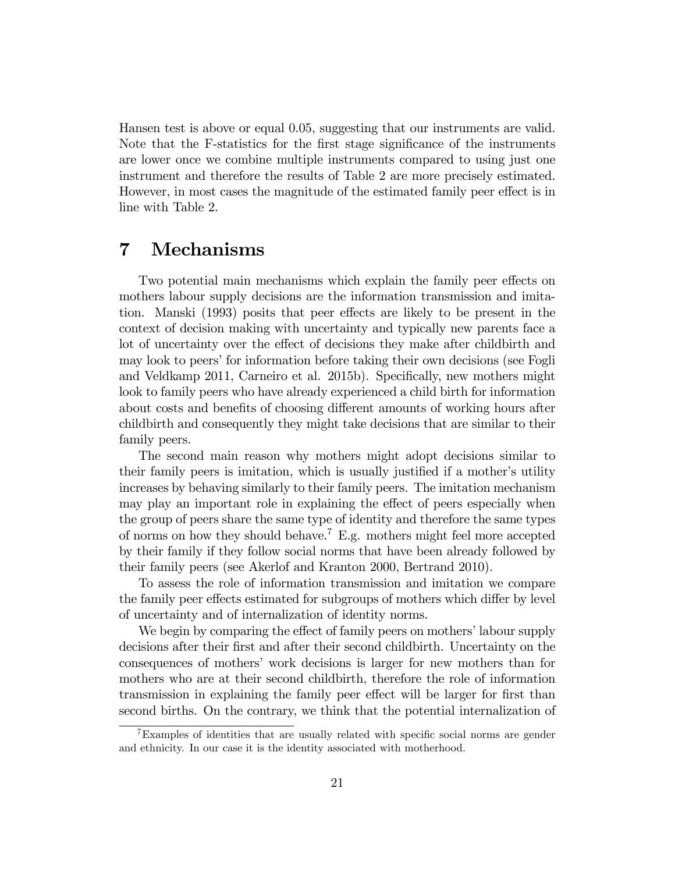Hansen test is above or equal 0.05, suggesting that our instruments are valid. Note that the F-statistics for the first stage significance of the instruments are lower once we combine multiple instruments compared to using just one instrument and therefore the results of Table 2 are more precisely estimated. However, in most cases the magnitude of the estimated family peer effect is in line with Table 2.

### 7 Mechanisms

Two potential main mechanisms which explain the family peer effects on mothers labour supply decisions are the information transmission and imitation. Manski (1993) posits that peer effects are likely to be present in the context of decision making with uncertainty and typically new parents face a lot of uncertainty over the effect of decisions they make after childbirth and may look to peers' for information before taking their own decisions (see Fogli and Veldkamp 2011, Carneiro et al. 2015b). Specifically, new mothers might look to family peers who have already experienced a child birth for information about costs and benefits of choosing different amounts of working hours after childbirth and consequently they might take decisions that are similar to their family peers.

The second main reason why mothers might adopt decisions similar to their family peers is imitation, which is usually justified if a mother's utility increases by behaving similarly to their family peers. The imitation mechanism may play an important role in explaining the effect of peers especially when the group of peers share the same type of identity and therefore the same types of norms on how they should behave.<sup>7</sup> E.g. mothers might feel more accepted by their family if they follow social norms that have been already followed by their family peers (see Akerlof and Kranton 2000, Bertrand 2010).

To assess the role of information transmission and imitation we compare the family peer effects estimated for subgroups of mothers which differ by level of uncertainty and of internalization of identity norms.

We begin by comparing the effect of family peers on mothers' labour supply decisions after their first and after their second childbirth. Uncertainty on the consequences of mothersí work decisions is larger for new mothers than for mothers who are at their second childbirth, therefore the role of information transmission in explaining the family peer effect will be larger for first than second births. On the contrary, we think that the potential internalization of

<sup>&</sup>lt;sup>7</sup>Examples of identities that are usually related with specific social norms are gender and ethnicity. In our case it is the identity associated with motherhood.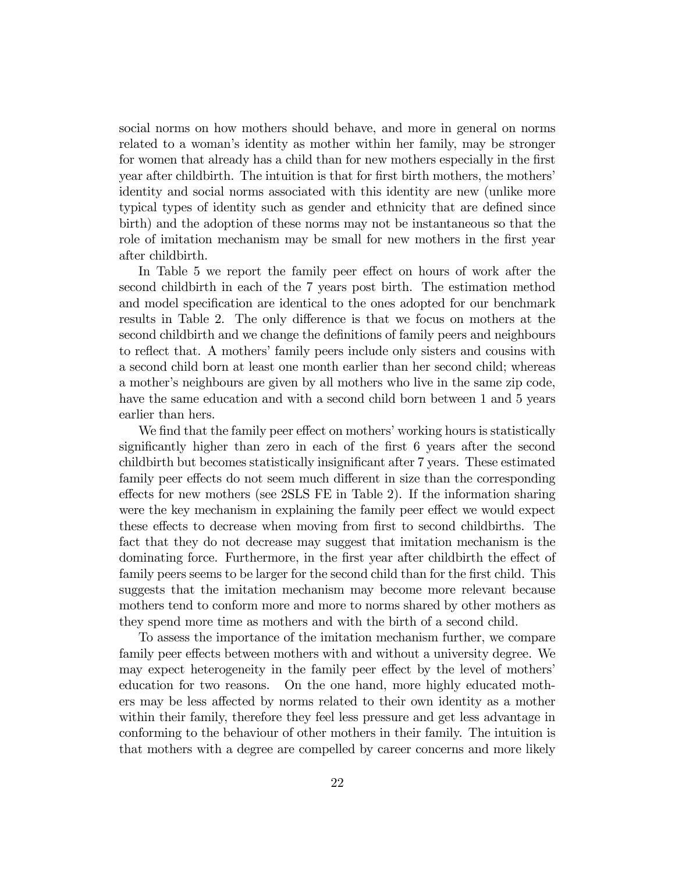social norms on how mothers should behave, and more in general on norms related to a woman's identity as mother within her family, may be stronger for women that already has a child than for new mothers especially in the first year after childbirth. The intuition is that for first birth mothers, the mothers' identity and social norms associated with this identity are new (unlike more typical types of identity such as gender and ethnicity that are defined since birth) and the adoption of these norms may not be instantaneous so that the role of imitation mechanism may be small for new mothers in the first year after childbirth.

In Table 5 we report the family peer effect on hours of work after the second childbirth in each of the 7 years post birth. The estimation method and model specification are identical to the ones adopted for our benchmark results in Table 2. The only difference is that we focus on mothers at the second childbirth and we change the definitions of family peers and neighbours to reflect that. A mothers' family peers include only sisters and cousins with a second child born at least one month earlier than her second child; whereas a mother's neighbours are given by all mothers who live in the same zip code, have the same education and with a second child born between 1 and 5 years earlier than hers.

We find that the family peer effect on mothers' working hours is statistically significantly higher than zero in each of the first 6 years after the second childbirth but becomes statistically insignificant after 7 years. These estimated family peer effects do not seem much different in size than the corresponding effects for new mothers (see 2SLS FE in Table 2). If the information sharing were the key mechanism in explaining the family peer effect we would expect these effects to decrease when moving from first to second childbirths. The fact that they do not decrease may suggest that imitation mechanism is the dominating force. Furthermore, in the first year after childbirth the effect of family peers seems to be larger for the second child than for the first child. This suggests that the imitation mechanism may become more relevant because mothers tend to conform more and more to norms shared by other mothers as they spend more time as mothers and with the birth of a second child.

To assess the importance of the imitation mechanism further, we compare family peer effects between mothers with and without a university degree. We may expect heterogeneity in the family peer effect by the level of mothers' education for two reasons. On the one hand, more highly educated mothers may be less affected by norms related to their own identity as a mother within their family, therefore they feel less pressure and get less advantage in conforming to the behaviour of other mothers in their family. The intuition is that mothers with a degree are compelled by career concerns and more likely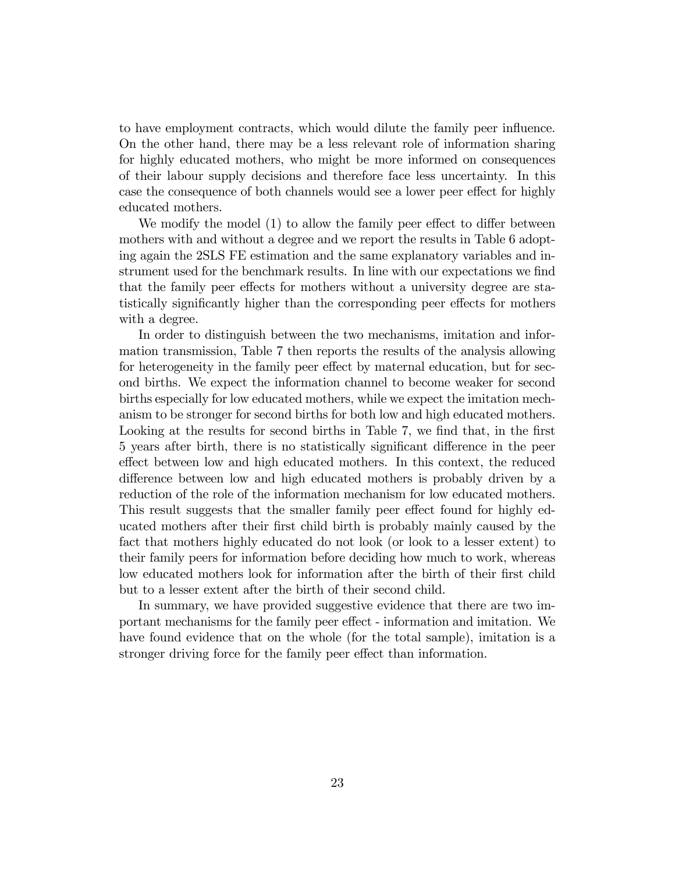to have employment contracts, which would dilute the family peer ináuence. On the other hand, there may be a less relevant role of information sharing for highly educated mothers, who might be more informed on consequences of their labour supply decisions and therefore face less uncertainty. In this case the consequence of both channels would see a lower peer effect for highly educated mothers.

We modify the model  $(1)$  to allow the family peer effect to differ between mothers with and without a degree and we report the results in Table 6 adopting again the 2SLS FE estimation and the same explanatory variables and instrument used for the benchmark results. In line with our expectations we find that the family peer effects for mothers without a university degree are statistically significantly higher than the corresponding peer effects for mothers with a degree.

In order to distinguish between the two mechanisms, imitation and information transmission, Table 7 then reports the results of the analysis allowing for heterogeneity in the family peer effect by maternal education, but for second births. We expect the information channel to become weaker for second births especially for low educated mothers, while we expect the imitation mechanism to be stronger for second births for both low and high educated mothers. Looking at the results for second births in Table 7, we find that, in the first 5 years after birth, there is no statistically significant difference in the peer effect between low and high educated mothers. In this context, the reduced difference between low and high educated mothers is probably driven by a reduction of the role of the information mechanism for low educated mothers. This result suggests that the smaller family peer effect found for highly educated mothers after their Örst child birth is probably mainly caused by the fact that mothers highly educated do not look (or look to a lesser extent) to their family peers for information before deciding how much to work, whereas low educated mothers look for information after the birth of their first child but to a lesser extent after the birth of their second child.

In summary, we have provided suggestive evidence that there are two important mechanisms for the family peer effect - information and imitation. We have found evidence that on the whole (for the total sample), imitation is a stronger driving force for the family peer effect than information.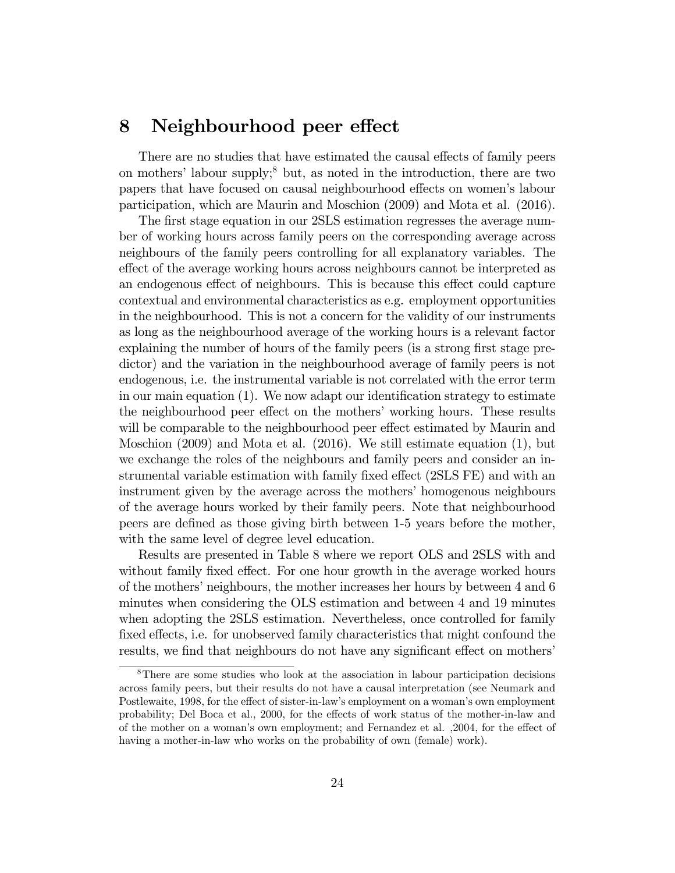#### 8 Neighbourhood peer effect

There are no studies that have estimated the causal effects of family peers on mothers' labour supply;<sup>8</sup> but, as noted in the introduction, there are two papers that have focused on causal neighbourhood effects on women's labour participation, which are Maurin and Moschion (2009) and Mota et al. (2016).

The first stage equation in our 2SLS estimation regresses the average number of working hours across family peers on the corresponding average across neighbours of the family peers controlling for all explanatory variables. The effect of the average working hours across neighbours cannot be interpreted as an endogenous effect of neighbours. This is because this effect could capture contextual and environmental characteristics as e.g. employment opportunities in the neighbourhood. This is not a concern for the validity of our instruments as long as the neighbourhood average of the working hours is a relevant factor explaining the number of hours of the family peers (is a strong first stage predictor) and the variation in the neighbourhood average of family peers is not endogenous, i.e. the instrumental variable is not correlated with the error term in our main equation  $(1)$ . We now adapt our identification strategy to estimate the neighbourhood peer effect on the mothers' working hours. These results will be comparable to the neighbourhood peer effect estimated by Maurin and Moschion (2009) and Mota et al. (2016). We still estimate equation (1), but we exchange the roles of the neighbours and family peers and consider an instrumental variable estimation with family fixed effect (2SLS FE) and with an instrument given by the average across the mothers' homogenous neighbours of the average hours worked by their family peers. Note that neighbourhood peers are deÖned as those giving birth between 1-5 years before the mother, with the same level of degree level education.

Results are presented in Table 8 where we report OLS and 2SLS with and without family fixed effect. For one hour growth in the average worked hours of the mothers' neighbours, the mother increases her hours by between 4 and 6 minutes when considering the OLS estimation and between 4 and 19 minutes when adopting the 2SLS estimation. Nevertheless, once controlled for family fixed effects, i.e. for unobserved family characteristics that might confound the results, we find that neighbours do not have any significant effect on mothers'

<sup>8</sup>There are some studies who look at the association in labour participation decisions across family peers, but their results do not have a causal interpretation (see Neumark and Postlewaite, 1998, for the effect of sister-in-law's employment on a woman's own employment probability; Del Boca et al., 2000, for the effects of work status of the mother-in-law and of the mother on a woman's own employment; and Fernandez et al. ,2004, for the effect of having a mother-in-law who works on the probability of own (female) work).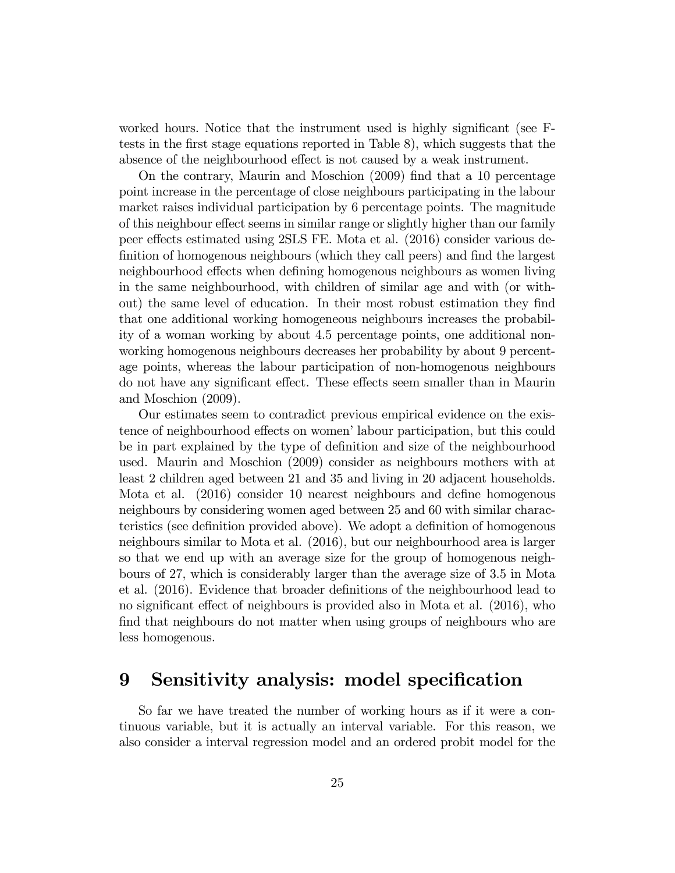worked hours. Notice that the instrument used is highly significant (see Ftests in the first stage equations reported in Table 8), which suggests that the absence of the neighbourhood effect is not caused by a weak instrument.

On the contrary, Maurin and Moschion (2009) Önd that a 10 percentage point increase in the percentage of close neighbours participating in the labour market raises individual participation by 6 percentage points. The magnitude of this neighbour effect seems in similar range or slightly higher than our family peer effects estimated using 2SLS FE. Mota et al. (2016) consider various definition of homogenous neighbours (which they call peers) and find the largest neighbourhood effects when defining homogenous neighbours as women living in the same neighbourhood, with children of similar age and with (or without) the same level of education. In their most robust estimation they find that one additional working homogeneous neighbours increases the probability of a woman working by about 4.5 percentage points, one additional nonworking homogenous neighbours decreases her probability by about 9 percentage points, whereas the labour participation of non-homogenous neighbours do not have any significant effect. These effects seem smaller than in Maurin and Moschion (2009).

Our estimates seem to contradict previous empirical evidence on the existence of neighbourhood effects on women' labour participation, but this could be in part explained by the type of definition and size of the neighbourhood used. Maurin and Moschion (2009) consider as neighbours mothers with at least 2 children aged between 21 and 35 and living in 20 adjacent households. Mota et al. (2016) consider 10 nearest neighbours and define homogenous neighbours by considering women aged between 25 and 60 with similar characteristics (see definition provided above). We adopt a definition of homogenous neighbours similar to Mota et al. (2016), but our neighbourhood area is larger so that we end up with an average size for the group of homogenous neighbours of 27, which is considerably larger than the average size of 3.5 in Mota et al. (2016). Evidence that broader definitions of the neighbourhood lead to no significant effect of neighbours is provided also in Mota et al. (2016), who find that neighbours do not matter when using groups of neighbours who are less homogenous.

### 9 Sensitivity analysis: model specification

So far we have treated the number of working hours as if it were a continuous variable, but it is actually an interval variable. For this reason, we also consider a interval regression model and an ordered probit model for the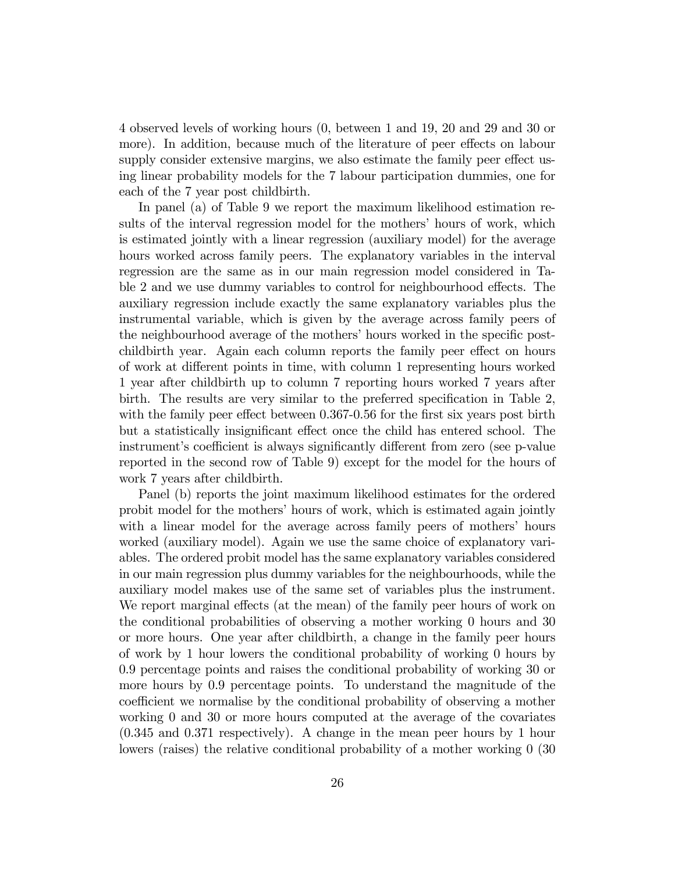4 observed levels of working hours (0, between 1 and 19, 20 and 29 and 30 or more). In addition, because much of the literature of peer effects on labour supply consider extensive margins, we also estimate the family peer effect using linear probability models for the 7 labour participation dummies, one for each of the 7 year post childbirth.

In panel (a) of Table 9 we report the maximum likelihood estimation results of the interval regression model for the mothers' hours of work, which is estimated jointly with a linear regression (auxiliary model) for the average hours worked across family peers. The explanatory variables in the interval regression are the same as in our main regression model considered in Table 2 and we use dummy variables to control for neighbourhood effects. The auxiliary regression include exactly the same explanatory variables plus the instrumental variable, which is given by the average across family peers of the neighbourhood average of the mothers' hours worked in the specific postchildbirth year. Again each column reports the family peer effect on hours of work at different points in time, with column 1 representing hours worked 1 year after childbirth up to column 7 reporting hours worked 7 years after birth. The results are very similar to the preferred specification in Table 2, with the family peer effect between  $0.367-0.56$  for the first six years post birth but a statistically insignificant effect once the child has entered school. The instrument's coefficient is always significantly different from zero (see p-value reported in the second row of Table 9) except for the model for the hours of work 7 years after childbirth.

Panel (b) reports the joint maximum likelihood estimates for the ordered probit model for the mothers' hours of work, which is estimated again jointly with a linear model for the average across family peers of mothers' hours worked (auxiliary model). Again we use the same choice of explanatory variables. The ordered probit model has the same explanatory variables considered in our main regression plus dummy variables for the neighbourhoods, while the auxiliary model makes use of the same set of variables plus the instrument. We report marginal effects (at the mean) of the family peer hours of work on the conditional probabilities of observing a mother working 0 hours and 30 or more hours. One year after childbirth, a change in the family peer hours of work by 1 hour lowers the conditional probability of working 0 hours by 0.9 percentage points and raises the conditional probability of working 30 or more hours by 0.9 percentage points. To understand the magnitude of the coefficient we normalise by the conditional probability of observing a mother working 0 and 30 or more hours computed at the average of the covariates (0.345 and 0.371 respectively). A change in the mean peer hours by 1 hour lowers (raises) the relative conditional probability of a mother working 0 (30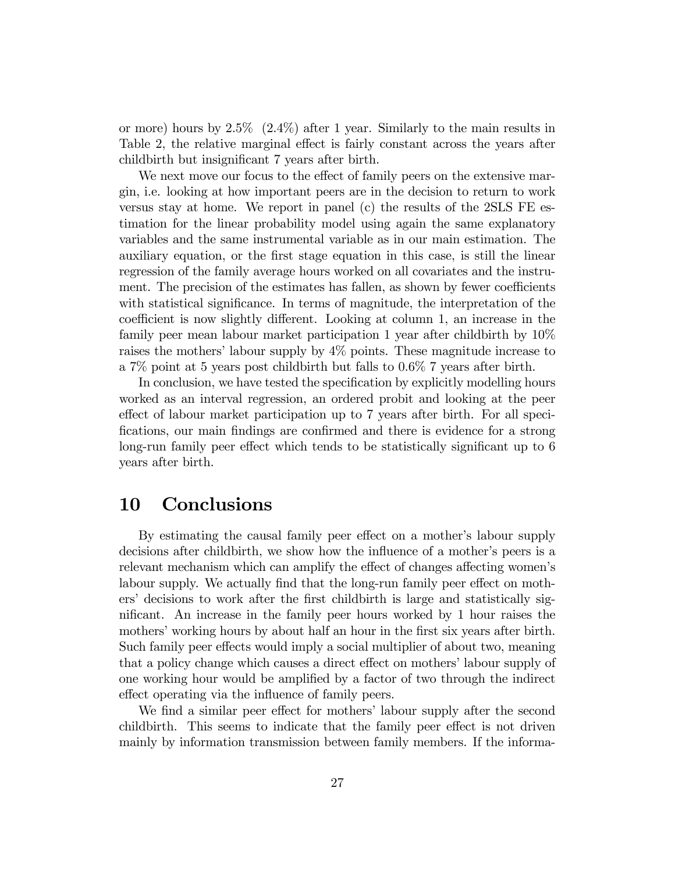or more) hours by  $2.5\%$  (2.4%) after 1 year. Similarly to the main results in Table 2, the relative marginal effect is fairly constant across the years after childbirth but insignificant 7 years after birth.

We next move our focus to the effect of family peers on the extensive margin, i.e. looking at how important peers are in the decision to return to work versus stay at home. We report in panel (c) the results of the 2SLS FE estimation for the linear probability model using again the same explanatory variables and the same instrumental variable as in our main estimation. The auxiliary equation, or the Örst stage equation in this case, is still the linear regression of the family average hours worked on all covariates and the instrument. The precision of the estimates has fallen, as shown by fewer coefficients with statistical significance. In terms of magnitude, the interpretation of the coefficient is now slightly different. Looking at column 1, an increase in the family peer mean labour market participation 1 year after childbirth by 10% raises the mothers' labour supply by  $4\%$  points. These magnitude increase to a 7% point at 5 years post childbirth but falls to 0.6% 7 years after birth.

In conclusion, we have tested the specification by explicitly modelling hours worked as an interval regression, an ordered probit and looking at the peer effect of labour market participation up to 7 years after birth. For all specifications, our main findings are confirmed and there is evidence for a strong long-run family peer effect which tends to be statistically significant up to 6 years after birth.

#### 10 Conclusions

By estimating the causal family peer effect on a mother's labour supply decisions after childbirth, we show how the influence of a mother's peers is a relevant mechanism which can amplify the effect of changes affecting women's labour supply. We actually find that the long-run family peer effect on mothers' decisions to work after the first childbirth is large and statistically significant. An increase in the family peer hours worked by 1 hour raises the mothers' working hours by about half an hour in the first six years after birth. Such family peer effects would imply a social multiplier of about two, meaning that a policy change which causes a direct effect on mothers' labour supply of one working hour would be amplified by a factor of two through the indirect effect operating via the influence of family peers.

We find a similar peer effect for mothers' labour supply after the second childbirth. This seems to indicate that the family peer effect is not driven mainly by information transmission between family members. If the informa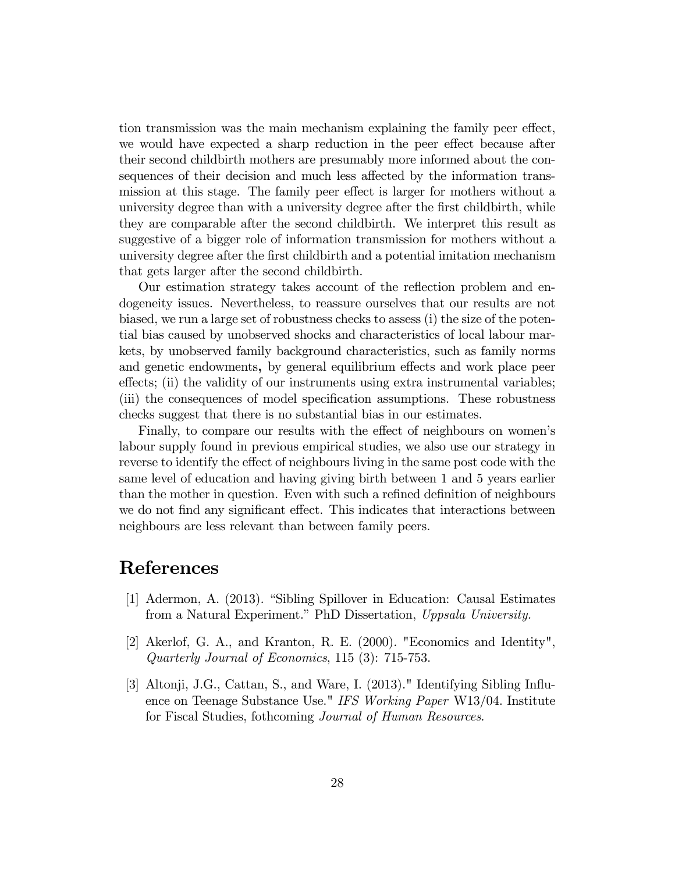tion transmission was the main mechanism explaining the family peer effect, we would have expected a sharp reduction in the peer effect because after their second childbirth mothers are presumably more informed about the consequences of their decision and much less affected by the information transmission at this stage. The family peer effect is larger for mothers without a university degree than with a university degree after the Örst childbirth, while they are comparable after the second childbirth. We interpret this result as suggestive of a bigger role of information transmission for mothers without a university degree after the first childbirth and a potential imitation mechanism that gets larger after the second childbirth.

Our estimation strategy takes account of the reflection problem and endogeneity issues. Nevertheless, to reassure ourselves that our results are not biased, we run a large set of robustness checks to assess (i) the size of the potential bias caused by unobserved shocks and characteristics of local labour markets, by unobserved family background characteristics, such as family norms and genetic endowments, by general equilibrium effects and work place peer effects; (ii) the validity of our instruments using extra instrumental variables; (iii) the consequences of model specification assumptions. These robustness checks suggest that there is no substantial bias in our estimates.

Finally, to compare our results with the effect of neighbours on women's labour supply found in previous empirical studies, we also use our strategy in reverse to identify the effect of neighbours living in the same post code with the same level of education and having giving birth between 1 and 5 years earlier than the mother in question. Even with such a refined definition of neighbours we do not find any significant effect. This indicates that interactions between neighbours are less relevant than between family peers.

### References

- [1] Adermon, A. (2013). "Sibling Spillover in Education: Causal Estimates from a Natural Experiment." PhD Dissertation, Uppsala University.
- [2] Akerlof, G. A., and Kranton, R. E. (2000). "Economics and Identity", Quarterly Journal of Economics, 115 (3): 715-753.
- [3] Altonji, J.G., Cattan, S., and Ware, I. (2013)." Identifying Sibling Influence on Teenage Substance Use." IFS Working Paper W13/04. Institute for Fiscal Studies, fothcoming Journal of Human Resources.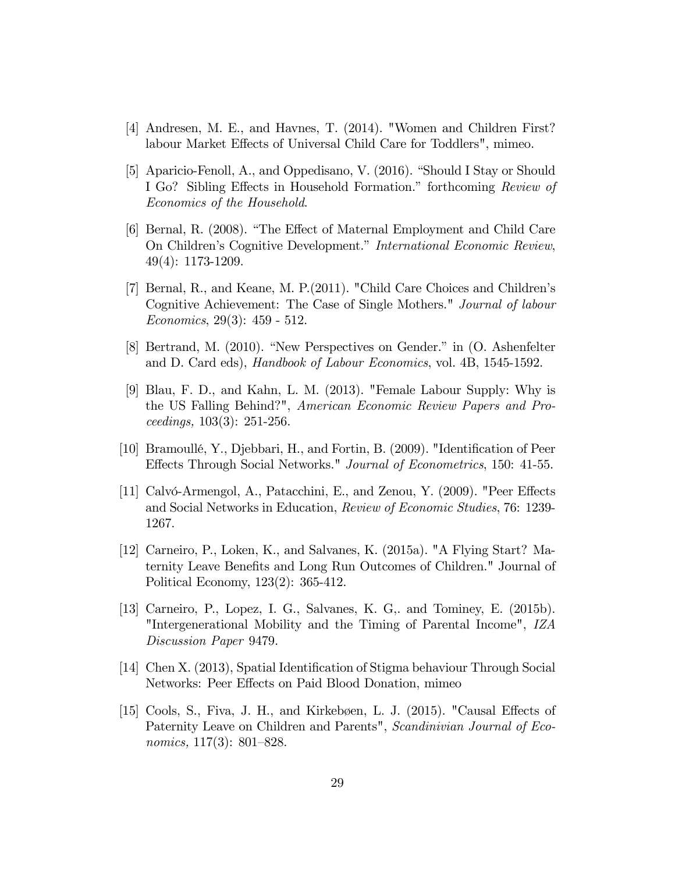- [4] Andresen, M. E., and Havnes, T. (2014). "Women and Children First? labour Market Effects of Universal Child Care for Toddlers", mimeo.
- [5] Aparicio-Fenoll, A., and Oppedisano, V.  $(2016)$ . "Should I Stay or Should I Go? Sibling Effects in Household Formation." forthcoming Review of Economics of the Household.
- [6] Bernal, R. (2008). "The Effect of Maternal Employment and Child Care On Children's Cognitive Development." International Economic Review, 49(4): 1173-1209.
- [7] Bernal, R., and Keane, M. P.(2011). "Child Care Choices and Childrenís Cognitive Achievement: The Case of Single Mothers." Journal of labour Economics, 29(3): 459 - 512.
- [8] Bertrand, M.  $(2010)$ . "New Perspectives on Gender." in  $(0.$  Ashenfelter and D. Card eds), Handbook of Labour Economics, vol. 4B, 1545-1592.
- [9] Blau, F. D., and Kahn, L. M. (2013). "Female Labour Supply: Why is the US Falling Behind?", American Economic Review Papers and Proceedings, 103(3): 251-256.
- [10] Bramoullé, Y., Djebbari, H., and Fortin, B. (2009). "Identification of Peer Effects Through Social Networks." Journal of Econometrics, 150: 41-55.
- [11] Calvó-Armengol, A., Patacchini, E., and Zenou, Y. (2009). "Peer Effects and Social Networks in Education, Review of Economic Studies, 76: 1239- 1267.
- [12] Carneiro, P., Loken, K., and Salvanes, K. (2015a). "A Flying Start? Maternity Leave Benefits and Long Run Outcomes of Children." Journal of Political Economy, 123(2): 365-412.
- [13] Carneiro, P., Lopez, I. G., Salvanes, K. G,. and Tominey, E. (2015b). "Intergenerational Mobility and the Timing of Parental Income", IZA Discussion Paper 9479.
- [14] Chen X. (2013), Spatial Identification of Stigma behaviour Through Social Networks: Peer Effects on Paid Blood Donation, mimeo
- [15] Cools, S., Fiva, J. H., and Kirkebøen, L. J. (2015). "Causal Effects of Paternity Leave on Children and Parents", Scandinivian Journal of Economics,  $117(3)$ : 801–828.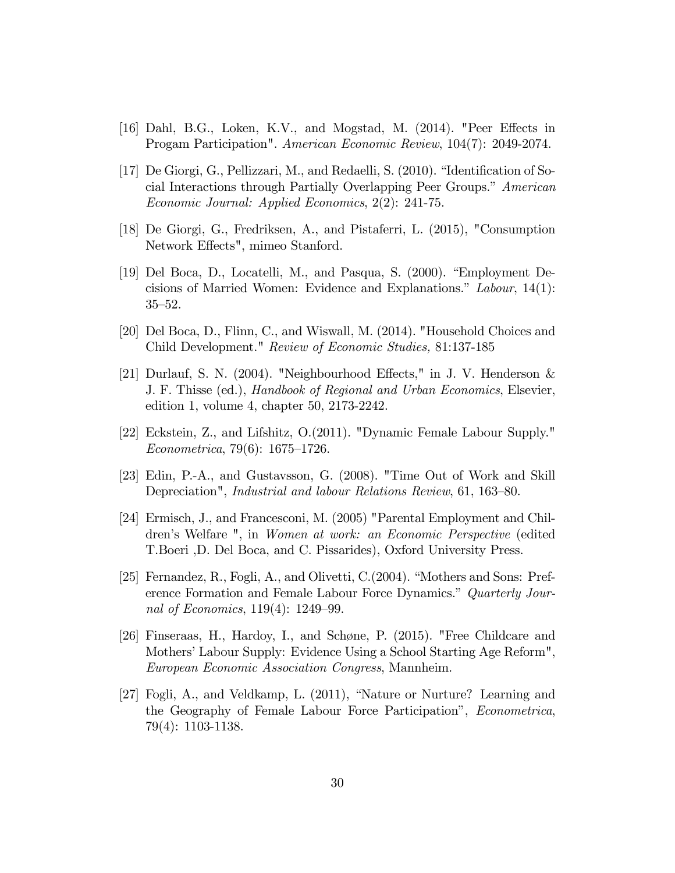- [16] Dahl, B.G., Loken, K.V., and Mogstad, M.  $(2014)$ . "Peer Effects in Progam Participation". American Economic Review, 104(7): 2049-2074.
- [17] De Giorgi, G., Pellizzari, M., and Redaelli, S.  $(2010)$ . "Identification of Social Interactions through Partially Overlapping Peer Groups." American Economic Journal: Applied Economics, 2(2): 241-75.
- [18] De Giorgi, G., Fredriksen, A., and Pistaferri, L. (2015), "Consumption Network Effects", mimeo Stanford.
- [19] Del Boca, D., Locatelli, M., and Pasqua, S. (2000). "Employment Decisions of Married Women: Evidence and Explanations.<sup>n</sup> Labour, 14(1):  $35–52.$
- [20] Del Boca, D., Flinn, C., and Wiswall, M. (2014). "Household Choices and Child Development." Review of Economic Studies, 81:137-185
- [21] Durlauf, S. N. (2004). "Neighbourhood Effects," in J. V. Henderson  $\&$ J. F. Thisse (ed.), Handbook of Regional and Urban Economics, Elsevier, edition 1, volume 4, chapter 50, 2173-2242.
- [22] Eckstein, Z., and Lifshitz, O.(2011). "Dynamic Female Labour Supply."  $Econometrica, 79(6): 1675-1726.$
- [23] Edin, P.-A., and Gustavsson, G. (2008). "Time Out of Work and Skill Depreciation", *Industrial and labour Relations Review*, 61, 163–80.
- [24] Ermisch, J., and Francesconi, M. (2005) "Parental Employment and Childrenís Welfare ", in Women at work: an Economic Perspective (edited T.Boeri ,D. Del Boca, and C. Pissarides), Oxford University Press.
- [25] Fernandez, R., Fogli, A., and Olivetti,  $C(2004)$ . "Mothers and Sons: Preference Formation and Female Labour Force Dynamics." Quarterly Journal of Economics,  $119(4)$ :  $1249-99$ .
- [26] Finseraas, H., Hardoy, I., and Schøne, P. (2015). "Free Childcare and Mothers' Labour Supply: Evidence Using a School Starting Age Reform", European Economic Association Congress, Mannheim.
- [27] Fogli, A., and Veldkamp, L.  $(2011)$ , "Nature or Nurture? Learning and the Geography of Female Labour Force Participation", *Econometrica*, 79(4): 1103-1138.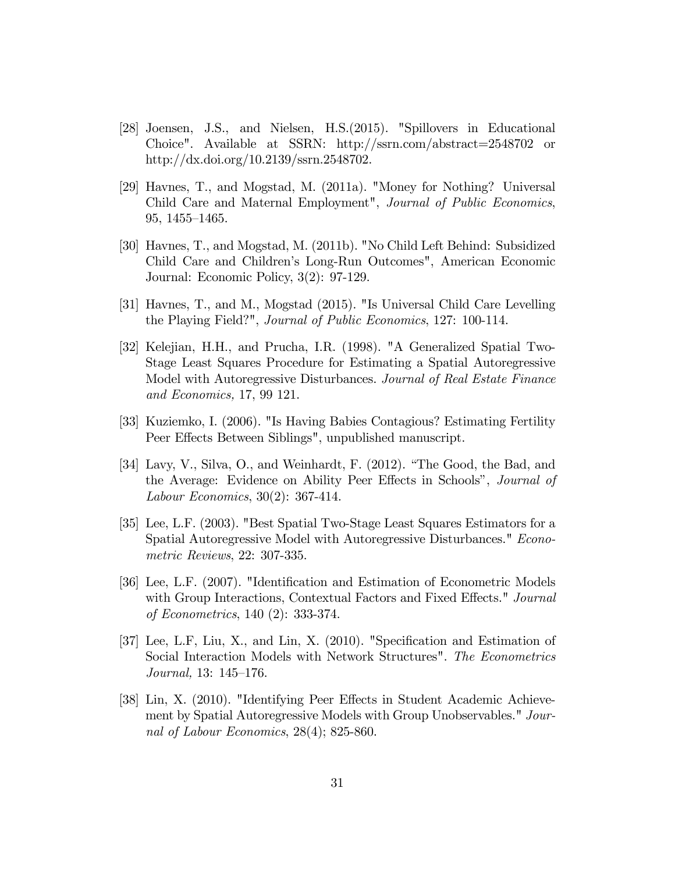- [28] Joensen, J.S., and Nielsen, H.S.(2015). "Spillovers in Educational Choice". Available at SSRN: http://ssrn.com/abstract=2548702 or http://dx.doi.org/10.2139/ssrn.2548702.
- [29] Havnes, T., and Mogstad, M. (2011a). "Money for Nothing? Universal Child Care and Maternal Employment", Journal of Public Economics,  $95, 1455 - 1465.$
- [30] Havnes, T., and Mogstad, M. (2011b). "No Child Left Behind: Subsidized Child Care and Childrenís Long-Run Outcomes", American Economic Journal: Economic Policy, 3(2): 97-129.
- [31] Havnes, T., and M., Mogstad (2015). "Is Universal Child Care Levelling the Playing Field?", Journal of Public Economics, 127: 100-114.
- [32] Kelejian, H.H., and Prucha, I.R. (1998). "A Generalized Spatial Two-Stage Least Squares Procedure for Estimating a Spatial Autoregressive Model with Autoregressive Disturbances. Journal of Real Estate Finance and Economics, 17, 99 121.
- [33] Kuziemko, I. (2006). "Is Having Babies Contagious? Estimating Fertility Peer Effects Between Siblings", unpublished manuscript.
- [34] Lavy, V., Silva, O., and Weinhardt, F. (2012). "The Good, the Bad, and the Average: Evidence on Ability Peer Effects in Schools", *Journal of* Labour Economics, 30(2): 367-414.
- [35] Lee, L.F. (2003). "Best Spatial Two-Stage Least Squares Estimators for a Spatial Autoregressive Model with Autoregressive Disturbances." Econometric Reviews, 22: 307-335.
- [36] Lee, L.F. (2007). "Identification and Estimation of Econometric Models with Group Interactions, Contextual Factors and Fixed Effects." Journal of Econometrics, 140 (2): 333-374.
- [37] Lee, L.F, Liu, X., and Lin, X.  $(2010)$ . "Specification and Estimation of Social Interaction Models with Network Structures". The Econometrics Journal,  $13: 145-176$ .
- [38] Lin, X. (2010). "Identifying Peer Effects in Student Academic Achievement by Spatial Autoregressive Models with Group Unobservables." Journal of Labour Economics, 28(4); 825-860.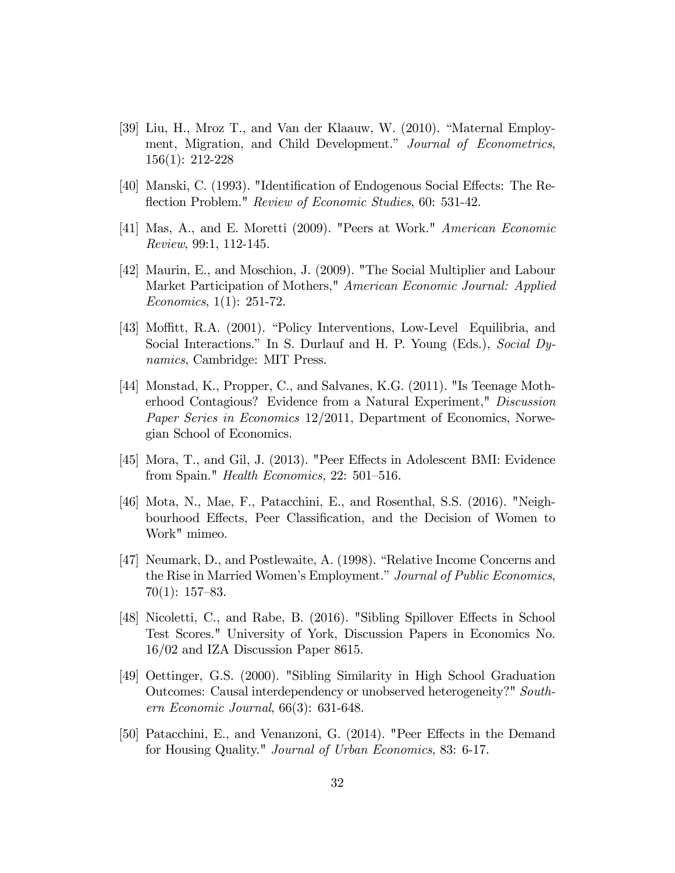- [39] Liu, H., Mroz T., and Van der Klaauw, W. (2010). "Maternal Employment, Migration, and Child Development." Journal of Econometrics, 156(1): 212-228
- [40] Manski, C. (1993). "Identification of Endogenous Social Effects: The Reflection Problem." Review of Economic Studies, 60: 531-42.
- [41] Mas, A., and E. Moretti (2009). "Peers at Work." American Economic Review, 99:1, 112-145.
- [42] Maurin, E., and Moschion, J. (2009). "The Social Multiplier and Labour Market Participation of Mothers," American Economic Journal: Applied Economics, 1(1): 251-72.
- [43] Moffitt, R.A. (2001). "Policy Interventions, Low-Level Equilibria, and Social Interactions." In S. Durlauf and H. P. Young (Eds.), Social Dynamics, Cambridge: MIT Press.
- [44] Monstad, K., Propper, C., and Salvanes, K.G. (2011). "Is Teenage Motherhood Contagious? Evidence from a Natural Experiment," Discussion Paper Series in Economics 12/2011, Department of Economics, Norwegian School of Economics.
- [45] Mora, T., and Gil, J. (2013). "Peer Effects in Adolescent BMI: Evidence from Spain." *Health Economics*,  $22: 501-516$ .
- [46] Mota, N., Mae, F., Patacchini, E., and Rosenthal, S.S. (2016). "Neighbourhood Effects, Peer Classification, and the Decision of Women to Work" mimeo.
- [47] Neumark, D., and Postlewaite, A. (1998). "Relative Income Concerns and the Rise in Married Women's Employment." Journal of Public Economics,  $70(1): 157–83.$
- [48] Nicoletti, C., and Rabe, B. (2016). "Sibling Spillover Effects in School Test Scores." University of York, Discussion Papers in Economics No. 16/02 and IZA Discussion Paper 8615.
- [49] Oettinger, G.S. (2000). "Sibling Similarity in High School Graduation Outcomes: Causal interdependency or unobserved heterogeneity?" Southern Economic Journal, 66(3): 631-648.
- [50] Patacchini, E., and Venanzoni, G. (2014). "Peer Effects in the Demand for Housing Quality." Journal of Urban Economics, 83: 6-17.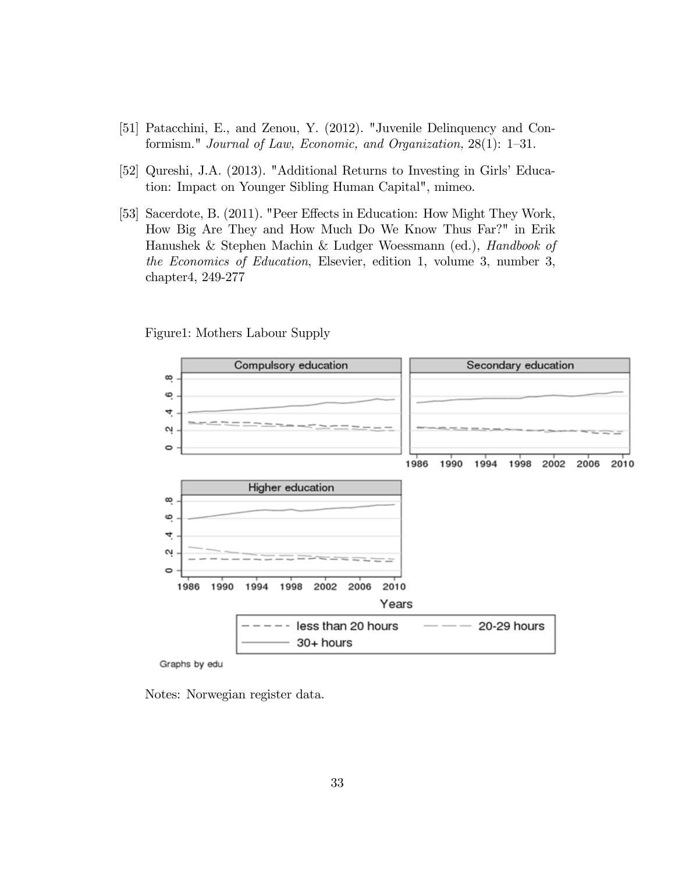- [51] Patacchini, E., and Zenou, Y. (2012). "Juvenile Delinquency and Conformism." Journal of Law, Economic, and Organization,  $28(1)$ : 1–31.
- [52] Qureshi, J.A. (2013). "Additional Returns to Investing in Girls' Education: Impact on Younger Sibling Human Capital", mimeo.
- [53] Sacerdote, B. (2011). "Peer Effects in Education: How Might They Work, How Big Are They and How Much Do We Know Thus Far?" in Erik Hanushek & Stephen Machin & Ludger Woessmann (ed.), Handbook of the Economics of Education, Elsevier, edition 1, volume 3, number 3, chapter4, 249-277

Figure1: Mothers Labour Supply



Graphs by edu

Notes: Norwegian register data.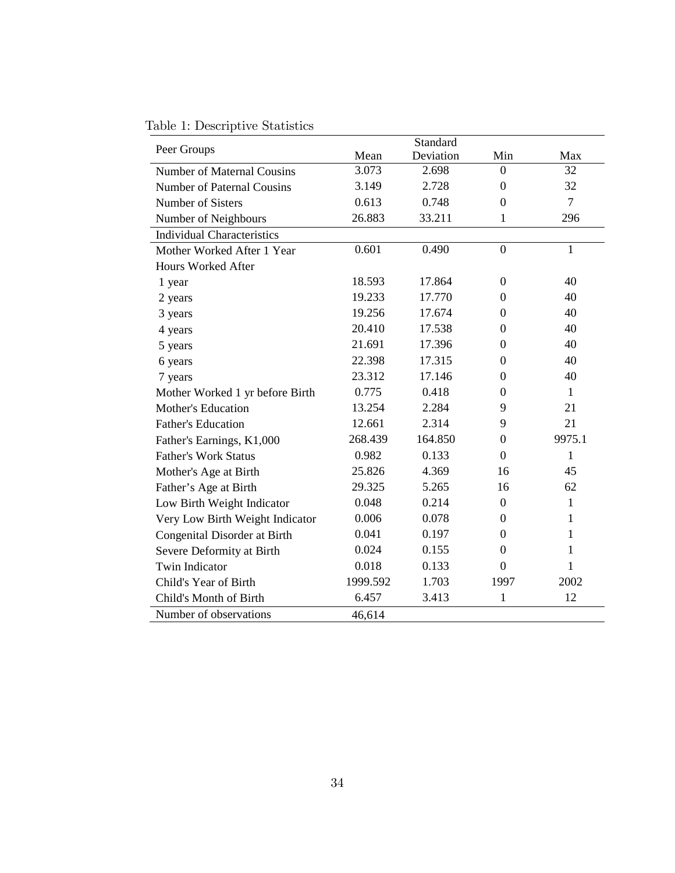Table 1: Descriptive Statistics

|                                   |          | Standard  |                  |                |
|-----------------------------------|----------|-----------|------------------|----------------|
| Peer Groups                       | Mean     | Deviation | Min              | Max            |
| <b>Number of Maternal Cousins</b> | 3.073    | 2.698     | $\theta$         | 32             |
| <b>Number of Paternal Cousins</b> | 3.149    | 2.728     | $\boldsymbol{0}$ | 32             |
| <b>Number of Sisters</b>          | 0.613    | 0.748     | $\boldsymbol{0}$ | $\overline{7}$ |
| Number of Neighbours              | 26.883   | 33.211    | $\mathbf{1}$     | 296            |
| <b>Individual Characteristics</b> |          |           |                  |                |
| Mother Worked After 1 Year        | 0.601    | 0.490     | $\overline{0}$   | $\mathbf{1}$   |
| Hours Worked After                |          |           |                  |                |
| 1 year                            | 18.593   | 17.864    | $\boldsymbol{0}$ | 40             |
| 2 years                           | 19.233   | 17.770    | $\Omega$         | 40             |
| 3 years                           | 19.256   | 17.674    | $\boldsymbol{0}$ | 40             |
| 4 years                           | 20.410   | 17.538    | $\theta$         | 40             |
| 5 years                           | 21.691   | 17.396    | $\Omega$         | 40             |
| 6 years                           | 22.398   | 17.315    | $\boldsymbol{0}$ | 40             |
| 7 years                           | 23.312   | 17.146    | $\theta$         | 40             |
| Mother Worked 1 yr before Birth   | 0.775    | 0.418     | $\Omega$         | $\mathbf{1}$   |
| <b>Mother's Education</b>         | 13.254   | 2.284     | 9                | 21             |
| <b>Father's Education</b>         | 12.661   | 2.314     | 9                | 21             |
| Father's Earnings, K1,000         | 268.439  | 164.850   | $\Omega$         | 9975.1         |
| <b>Father's Work Status</b>       | 0.982    | 0.133     | $\theta$         | 1              |
| Mother's Age at Birth             | 25.826   | 4.369     | 16               | 45             |
| Father's Age at Birth             | 29.325   | 5.265     | 16               | 62             |
| Low Birth Weight Indicator        | 0.048    | 0.214     | $\overline{0}$   | 1              |
| Very Low Birth Weight Indicator   | 0.006    | 0.078     | $\overline{0}$   | 1              |
| Congenital Disorder at Birth      | 0.041    | 0.197     | $\Omega$         | 1              |
| Severe Deformity at Birth         | 0.024    | 0.155     | $\theta$         | 1              |
| <b>Twin Indicator</b>             | 0.018    | 0.133     | $\overline{0}$   | 1              |
| Child's Year of Birth             | 1999.592 | 1.703     | 1997             | 2002           |
| Child's Month of Birth            | 6.457    | 3.413     | 1                | 12             |
| Number of observations            | 46,614   |           |                  |                |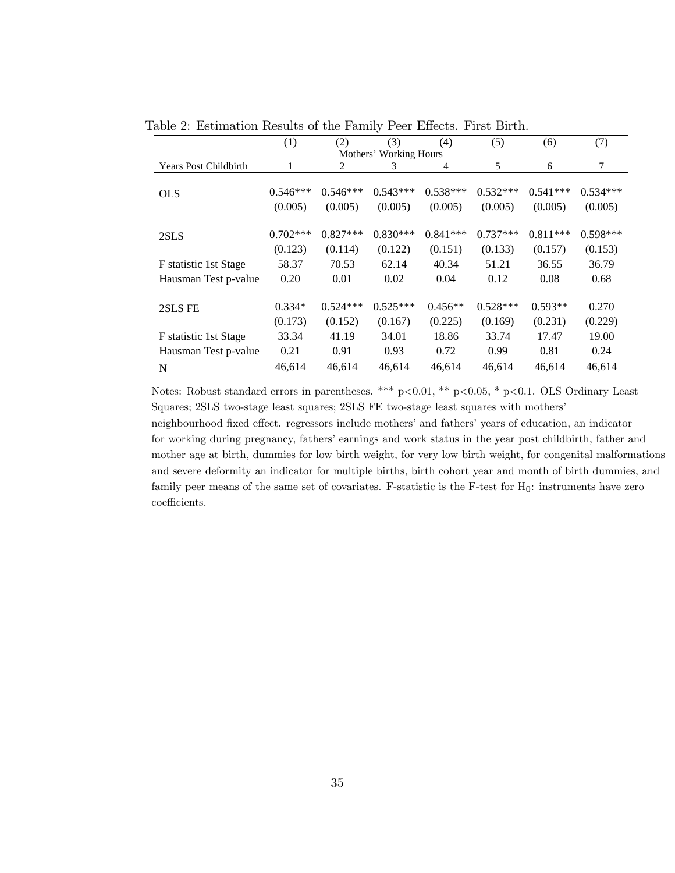|                              | (1)        | (2)        | (3)                    | (4)            | (5)        | (6)        | (7)        |
|------------------------------|------------|------------|------------------------|----------------|------------|------------|------------|
|                              |            |            | Mothers' Working Hours |                |            |            |            |
| <b>Years Post Childbirth</b> | 1          | 2          | 3                      | $\overline{4}$ | 5          | 6          | $\tau$     |
|                              |            |            |                        |                |            |            |            |
| <b>OLS</b>                   | $0.546***$ | $0.546***$ | $0.543***$             | $0.538***$     | $0.532***$ | $0.541***$ | $0.534***$ |
|                              | (0.005)    | (0.005)    | (0.005)                | (0.005)        | (0.005)    | (0.005)    | (0.005)    |
|                              |            |            |                        |                |            |            |            |
| 2SLS                         | $0.702***$ | $0.827***$ | $0.830***$             | $0.841***$     | $0.737***$ | $0.811***$ | $0.598***$ |
|                              | (0.123)    | (0.114)    | (0.122)                | (0.151)        | (0.133)    | (0.157)    | (0.153)    |
| F statistic 1st Stage        | 58.37      | 70.53      | 62.14                  | 40.34          | 51.21      | 36.55      | 36.79      |
| Hausman Test p-value         | 0.20       | 0.01       | 0.02                   | 0.04           | 0.12       | 0.08       | 0.68       |
|                              |            |            |                        |                |            |            |            |
| 2SLS FE                      | $0.334*$   | $0.524***$ | $0.525***$             | $0.456**$      | $0.528***$ | $0.593**$  | 0.270      |
|                              | (0.173)    | (0.152)    | (0.167)                | (0.225)        | (0.169)    | (0.231)    | (0.229)    |
| F statistic 1st Stage        | 33.34      | 41.19      | 34.01                  | 18.86          | 33.74      | 17.47      | 19.00      |
| Hausman Test p-value         | 0.21       | 0.91       | 0.93                   | 0.72           | 0.99       | 0.81       | 0.24       |
| N                            | 46,614     | 46,614     | 46,614                 | 46,614         | 46,614     | 46,614     | 46,614     |

Table 2: Estimation Results of the Family Peer Effects. First Birth.

Notes: Robust standard errors in parentheses. \*\*\* p<0.01, \*\* p<0.05, \* p<0.1. OLS Ordinary Least Squares; 2SLS two-stage least squares; 2SLS FE two-stage least squares with mothersí

neighbourhood fixed effect. regressors include mothers' and fathers' years of education, an indicator for working during pregnancy, fathers' earnings and work status in the year post childbirth, father and mother age at birth, dummies for low birth weight, for very low birth weight, for congenital malformations and severe deformity an indicator for multiple births, birth cohort year and month of birth dummies, and family peer means of the same set of covariates. F-statistic is the F-test for  $H_0$ : instruments have zero coefficients.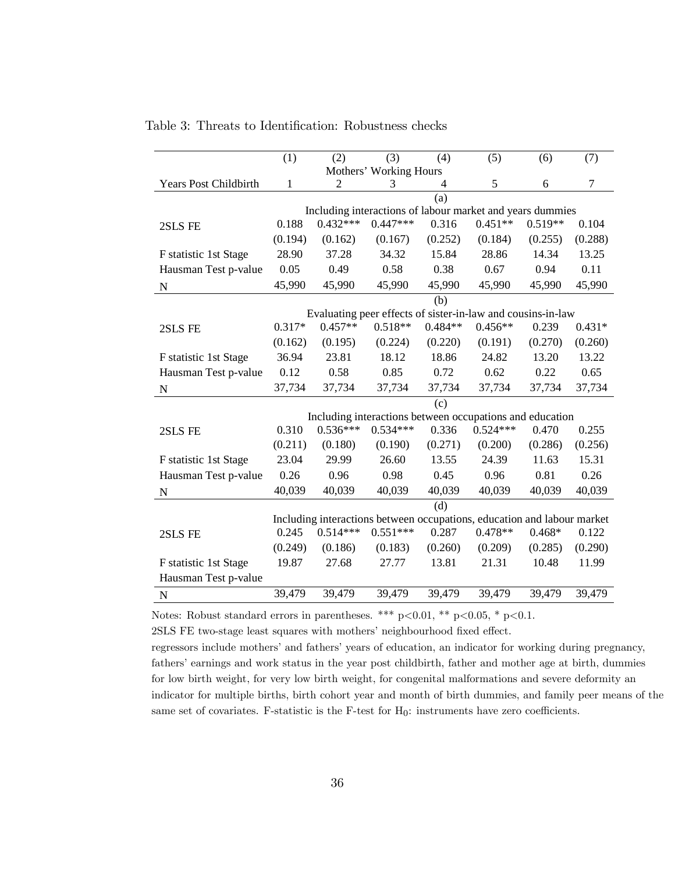|                              | (1)      | (2)        | (3)                                                                     | (4)            | (5)        | (6)       | (7)            |
|------------------------------|----------|------------|-------------------------------------------------------------------------|----------------|------------|-----------|----------------|
|                              |          |            | Mothers' Working Hours                                                  |                |            |           |                |
| <b>Years Post Childbirth</b> | 1        | 2          | 3                                                                       | $\overline{4}$ | 5          | 6         | $\overline{7}$ |
|                              |          |            |                                                                         | (a)            |            |           |                |
|                              |          |            | Including interactions of labour market and years dummies               |                |            |           |                |
| 2SLS FE                      | 0.188    | $0.432***$ | $0.447***$                                                              | 0.316          | $0.451**$  | $0.519**$ | 0.104          |
|                              | (0.194)  | (0.162)    | (0.167)                                                                 | (0.252)        | (0.184)    | (0.255)   | (0.288)        |
| F statistic 1st Stage        | 28.90    | 37.28      | 34.32                                                                   | 15.84          | 28.86      | 14.34     | 13.25          |
| Hausman Test p-value         | 0.05     | 0.49       | 0.58                                                                    | 0.38           | 0.67       | 0.94      | 0.11           |
| ${\bf N}$                    | 45,990   | 45,990     | 45,990                                                                  | 45,990         | 45,990     | 45,990    | 45,990         |
|                              |          |            |                                                                         | (b)            |            |           |                |
|                              |          |            | Evaluating peer effects of sister-in-law and cousins-in-law             |                |            |           |                |
| 2SLS FE                      | $0.317*$ | $0.457**$  | $0.518**$                                                               | $0.484**$      | $0.456**$  | 0.239     | $0.431*$       |
|                              | (0.162)  | (0.195)    | (0.224)                                                                 | (0.220)        | (0.191)    | (0.270)   | (0.260)        |
| F statistic 1st Stage        | 36.94    | 23.81      | 18.12                                                                   | 18.86          | 24.82      | 13.20     | 13.22          |
| Hausman Test p-value         | 0.12     | 0.58       | 0.85                                                                    | 0.72           | 0.62       | 0.22      | 0.65           |
| ${\bf N}$                    | 37,734   | 37,734     | 37,734                                                                  | 37,734         | 37,734     | 37,734    | 37,734         |
|                              |          |            |                                                                         | (c)            |            |           |                |
|                              |          |            | Including interactions between occupations and education                |                |            |           |                |
| 2SLS FE                      | 0.310    | $0.536***$ | $0.534***$                                                              | 0.336          | $0.524***$ | 0.470     | 0.255          |
|                              | (0.211)  | (0.180)    | (0.190)                                                                 | (0.271)        | (0.200)    | (0.286)   | (0.256)        |
| F statistic 1st Stage        | 23.04    | 29.99      | 26.60                                                                   | 13.55          | 24.39      | 11.63     | 15.31          |
| Hausman Test p-value         | 0.26     | 0.96       | 0.98                                                                    | 0.45           | 0.96       | 0.81      | 0.26           |
| ${\bf N}$                    | 40,039   | 40,039     | 40,039                                                                  | 40,039         | 40,039     | 40,039    | 40,039         |
|                              |          |            |                                                                         | (d)            |            |           |                |
|                              |          |            | Including interactions between occupations, education and labour market |                |            |           |                |
| 2SLS FE                      | 0.245    | $0.514***$ | $0.551***$                                                              | 0.287          | $0.478**$  | $0.468*$  | 0.122          |
|                              | (0.249)  | (0.186)    | (0.183)                                                                 | (0.260)        | (0.209)    | (0.285)   | (0.290)        |
| F statistic 1st Stage        | 19.87    | 27.68      | 27.77                                                                   | 13.81          | 21.31      | 10.48     | 11.99          |
| Hausman Test p-value         |          |            |                                                                         |                |            |           |                |
| N                            | 39,479   | 39,479     | 39,479                                                                  | 39,479         | 39,479     | 39,479    | 39,479         |

Table 3: Threats to Identification: Robustness checks

Notes: Robust standard errors in parentheses. \*\*\*  $p<0.01$ , \*\*  $p<0.05$ , \*  $p<0.1$ . 2SLS FE two-stage least squares with mothers' neighbourhood fixed effect.

regressors include mothers' and fathers' years of education, an indicator for working during pregnancy, fathers' earnings and work status in the year post childbirth, father and mother age at birth, dummies for low birth weight, for very low birth weight, for congenital malformations and severe deformity an indicator for multiple births, birth cohort year and month of birth dummies, and family peer means of the same set of covariates. F-statistic is the F-test for  $H_0$ : instruments have zero coefficients.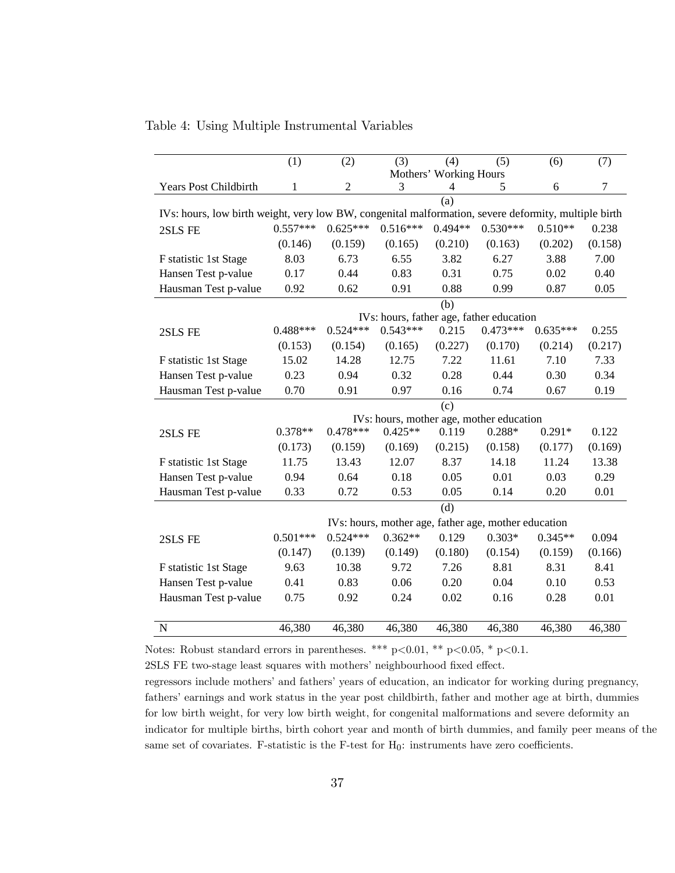|                                                                                                      | (1)        | (2)            | (3)        | (4)                    | (5)                                                  | (6)        | (7)     |
|------------------------------------------------------------------------------------------------------|------------|----------------|------------|------------------------|------------------------------------------------------|------------|---------|
|                                                                                                      |            |                |            | Mothers' Working Hours |                                                      |            |         |
| Years Post Childbirth                                                                                | 1          | $\overline{c}$ | 3          | 4                      | 5                                                    | 6          | $\tau$  |
|                                                                                                      |            |                |            | (a)                    |                                                      |            |         |
| IVs: hours, low birth weight, very low BW, congenital malformation, severe deformity, multiple birth |            |                |            |                        |                                                      |            |         |
| 2SLS FE                                                                                              | $0.557***$ | $0.625***$     | $0.516***$ | $0.494**$              | $0.530***$                                           | $0.510**$  | 0.238   |
|                                                                                                      | (0.146)    | (0.159)        | (0.165)    | (0.210)                | (0.163)                                              | (0.202)    | (0.158) |
| F statistic 1st Stage                                                                                | 8.03       | 6.73           | 6.55       | 3.82                   | 6.27                                                 | 3.88       | 7.00    |
| Hansen Test p-value                                                                                  | 0.17       | 0.44           | 0.83       | 0.31                   | 0.75                                                 | 0.02       | 0.40    |
| Hausman Test p-value                                                                                 | 0.92       | 0.62           | 0.91       | 0.88                   | 0.99                                                 | 0.87       | 0.05    |
|                                                                                                      |            |                |            | (b)                    |                                                      |            |         |
|                                                                                                      |            |                |            |                        | IVs: hours, father age, father education             |            |         |
| 2SLS FE                                                                                              | $0.488***$ | $0.524***$     | $0.543***$ | 0.215                  | $0.473***$                                           | $0.635***$ | 0.255   |
|                                                                                                      | (0.153)    | (0.154)        | (0.165)    | (0.227)                | (0.170)                                              | (0.214)    | (0.217) |
| F statistic 1st Stage                                                                                | 15.02      | 14.28          | 12.75      | 7.22                   | 11.61                                                | 7.10       | 7.33    |
| Hansen Test p-value                                                                                  | 0.23       | 0.94           | 0.32       | 0.28                   | 0.44                                                 | 0.30       | 0.34    |
| Hausman Test p-value                                                                                 | 0.70       | 0.91           | 0.97       | 0.16                   | 0.74                                                 | 0.67       | 0.19    |
|                                                                                                      |            |                |            | (c)                    |                                                      |            |         |
|                                                                                                      |            |                |            |                        | IVs: hours, mother age, mother education             |            |         |
| 2SLS FE                                                                                              | $0.378**$  | $0.478***$     | $0.425**$  | 0.119                  | $0.288*$                                             | $0.291*$   | 0.122   |
|                                                                                                      | (0.173)    | (0.159)        | (0.169)    | (0.215)                | (0.158)                                              | (0.177)    | (0.169) |
| F statistic 1st Stage                                                                                | 11.75      | 13.43          | 12.07      | 8.37                   | 14.18                                                | 11.24      | 13.38   |
| Hansen Test p-value                                                                                  | 0.94       | 0.64           | 0.18       | 0.05                   | 0.01                                                 | 0.03       | 0.29    |
| Hausman Test p-value                                                                                 | 0.33       | 0.72           | 0.53       | 0.05                   | 0.14                                                 | 0.20       | 0.01    |
|                                                                                                      |            |                |            | (d)                    |                                                      |            |         |
|                                                                                                      |            |                |            |                        | IVs: hours, mother age, father age, mother education |            |         |
| 2SLS FE                                                                                              | $0.501***$ | $0.524***$     | $0.362**$  | 0.129                  | $0.303*$                                             | $0.345**$  | 0.094   |
|                                                                                                      | (0.147)    | (0.139)        | (0.149)    | (0.180)                | (0.154)                                              | (0.159)    | (0.166) |
| F statistic 1st Stage                                                                                | 9.63       | 10.38          | 9.72       | 7.26                   | 8.81                                                 | 8.31       | 8.41    |
| Hansen Test p-value                                                                                  | 0.41       | 0.83           | 0.06       | 0.20                   | 0.04                                                 | 0.10       | 0.53    |
| Hausman Test p-value                                                                                 | 0.75       | 0.92           | 0.24       | 0.02                   | 0.16                                                 | 0.28       | 0.01    |
|                                                                                                      |            |                |            |                        |                                                      |            |         |
| $\mathbf N$                                                                                          | 46,380     | 46,380         | 46,380     | 46,380                 | 46,380                                               | 46,380     | 46,380  |

Table 4: Using Multiple Instrumental Variables

Notes: Robust standard errors in parentheses. \*\*\* p<0.01, \*\* p<0.05, \* p<0.1.

 $2{\rm SLS}$  FE two-stage least squares with mothers' neighbourhood fixed effect.

regressors include mothers' and fathers' years of education, an indicator for working during pregnancy, fathers' earnings and work status in the year post childbirth, father and mother age at birth, dummies for low birth weight, for very low birth weight, for congenital malformations and severe deformity an indicator for multiple births, birth cohort year and month of birth dummies, and family peer means of the same set of covariates. F-statistic is the F-test for  $H_0$ : instruments have zero coefficients.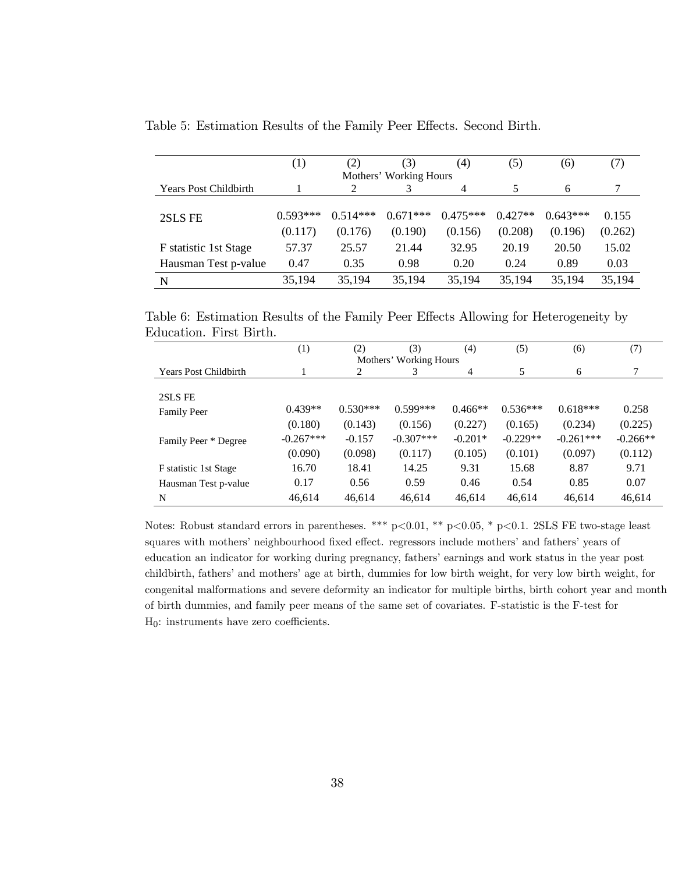|                              | (1)        | (2)        | (3)                    | (4)        | (5)       | (6)        | (7)     |
|------------------------------|------------|------------|------------------------|------------|-----------|------------|---------|
|                              |            |            | Mothers' Working Hours |            |           |            |         |
| <b>Years Post Childbirth</b> |            |            |                        | 4          | 5         | 6          |         |
|                              |            |            |                        |            |           |            |         |
| 2SLS FE                      | $0.593***$ | $0.514***$ | $0.671***$             | $0.475***$ | $0.427**$ | $0.643***$ | 0.155   |
|                              | (0.117)    | (0.176)    | (0.190)                | (0.156)    | (0.208)   | (0.196)    | (0.262) |
| F statistic 1st Stage        | 57.37      | 25.57      | 21.44                  | 32.95      | 20.19     | 20.50      | 15.02   |
| Hausman Test p-value         | 0.47       | 0.35       | 0.98                   | 0.20       | 0.24      | 0.89       | 0.03    |
| N                            | 35,194     | 35,194     | 35,194                 | 35,194     | 35,194    | 35,194     | 35,194  |

Table 5: Estimation Results of the Family Peer Effects. Second Birth.

Table 6: Estimation Results of the Family Peer Effects Allowing for Heterogeneity by Education. First Birth.

|                              | (1)         | (2)        | (3)                    | (4)       | (5)        | (6)         | (7)        |
|------------------------------|-------------|------------|------------------------|-----------|------------|-------------|------------|
|                              |             |            | Mothers' Working Hours |           |            |             |            |
| <b>Years Post Childbirth</b> |             | 2          | 3                      | 4         | 5          | 6           | 7          |
|                              |             |            |                        |           |            |             |            |
| 2SLS FE                      |             |            |                        |           |            |             |            |
| <b>Family Peer</b>           | $0.439**$   | $0.530***$ | $0.599***$             | $0.466**$ | $0.536***$ | $0.618***$  | 0.258      |
|                              | (0.180)     | (0.143)    | (0.156)                | (0.227)   | (0.165)    | (0.234)     | (0.225)    |
| Family Peer * Degree         | $-0.267***$ | $-0.157$   | $-0.307***$            | $-0.201*$ | $-0.229**$ | $-0.261***$ | $-0.266**$ |
|                              | (0.090)     | (0.098)    | (0.117)                | (0.105)   | (0.101)    | (0.097)     | (0.112)    |
| F statistic 1st Stage        | 16.70       | 18.41      | 14.25                  | 9.31      | 15.68      | 8.87        | 9.71       |
| Hausman Test p-value         | 0.17        | 0.56       | 0.59                   | 0.46      | 0.54       | 0.85        | 0.07       |
| N                            | 46,614      | 46,614     | 46,614                 | 46,614    | 46,614     | 46,614      | 46,614     |

Notes: Robust standard errors in parentheses. \*\*\* p<0.01, \*\* p<0.05, \* p<0.1. 2SLS FE two-stage least squares with mothers' neighbourhood fixed effect. regressors include mothers' and fathers' years of education an indicator for working during pregnancy, fathers' earnings and work status in the year post childbirth, fathers' and mothers' age at birth, dummies for low birth weight, for very low birth weight, for congenital malformations and severe deformity an indicator for multiple births, birth cohort year and month of birth dummies, and family peer means of the same set of covariates. F-statistic is the F-test for  $H_0$ : instruments have zero coefficients.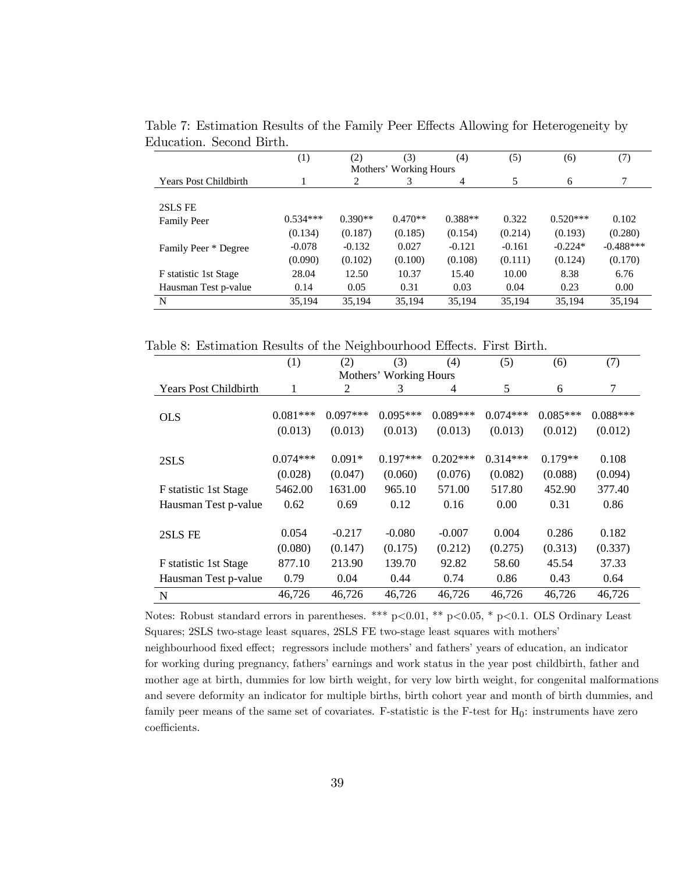|                              | (1)        | (2)       | (3)                    | (4)       | (5)      | (6)        | (7)         |
|------------------------------|------------|-----------|------------------------|-----------|----------|------------|-------------|
|                              |            |           | Mothers' Working Hours |           |          |            |             |
| <b>Years Post Childbirth</b> |            | 2         | 3                      | 4         | 5        | 6          | 7           |
|                              |            |           |                        |           |          |            |             |
| 2SLS FE                      |            |           |                        |           |          |            |             |
| <b>Family Peer</b>           | $0.534***$ | $0.390**$ | $0.470**$              | $0.388**$ | 0.322    | $0.520***$ | 0.102       |
|                              | (0.134)    | (0.187)   | (0.185)                | (0.154)   | (0.214)  | (0.193)    | (0.280)     |
| Family Peer * Degree         | $-0.078$   | $-0.132$  | 0.027                  | $-0.121$  | $-0.161$ | $-0.224*$  | $-0.488***$ |
|                              | (0.090)    | (0.102)   | (0.100)                | (0.108)   | (0.111)  | (0.124)    | (0.170)     |
| F statistic 1st Stage        | 28.04      | 12.50     | 10.37                  | 15.40     | 10.00    | 8.38       | 6.76        |
| Hausman Test p-value         | 0.14       | 0.05      | 0.31                   | 0.03      | 0.04     | 0.23       | 0.00        |
| N                            | 35,194     | 35,194    | 35,194                 | 35,194    | 35,194   | 35,194     | 35,194      |

Table 7: Estimation Results of the Family Peer Effects Allowing for Heterogeneity by Education. Second Birth.

Table 8: Estimation Results of the Neighbourhood Effects. First Birth.

|                              | (1)        | (2)        | (3)                    | (4)        | (5)        | (6)        | (7)        |
|------------------------------|------------|------------|------------------------|------------|------------|------------|------------|
|                              |            |            | Mothers' Working Hours |            |            |            |            |
| <b>Years Post Childbirth</b> | 1          | 2          | 3                      | 4          | 5          | 6          | $\tau$     |
| <b>OLS</b>                   | $0.081***$ | $0.097***$ | $0.095***$             | $0.089***$ | $0.074***$ | $0.085***$ | $0.088***$ |
|                              | (0.013)    | (0.013)    | (0.013)                | (0.013)    | (0.013)    | (0.012)    | (0.012)    |
| 2SLS                         | $0.074***$ | $0.091*$   | $0.197***$             | $0.202***$ | $0.314***$ | $0.179**$  | 0.108      |
|                              | (0.028)    | (0.047)    | (0.060)                | (0.076)    | (0.082)    | (0.088)    | (0.094)    |
| F statistic 1st Stage        | 5462.00    | 1631.00    | 965.10                 | 571.00     | 517.80     | 452.90     | 377.40     |
| Hausman Test p-value         | 0.62       | 0.69       | 0.12                   | 0.16       | 0.00       | 0.31       | 0.86       |
|                              |            |            |                        |            |            |            |            |
| 2SLS FE                      | 0.054      | $-0.217$   | $-0.080$               | $-0.007$   | 0.004      | 0.286      | 0.182      |
|                              | (0.080)    | (0.147)    | (0.175)                | (0.212)    | (0.275)    | (0.313)    | (0.337)    |
| F statistic 1st Stage        | 877.10     | 213.90     | 139.70                 | 92.82      | 58.60      | 45.54      | 37.33      |
| Hausman Test p-value         | 0.79       | 0.04       | 0.44                   | 0.74       | 0.86       | 0.43       | 0.64       |
| N                            | 46,726     | 46,726     | 46,726                 | 46,726     | 46,726     | 46,726     | 46,726     |

Notes: Robust standard errors in parentheses. \*\*\*  $p<0.01$ , \*\*  $p<0.05$ , \*  $p<0.1$ . OLS Ordinary Least Squares; 2SLS two-stage least squares, 2SLS FE two-stage least squares with mothers' neighbourhood fixed effect; regressors include mothers' and fathers' years of education, an indicator for working during pregnancy, fathers' earnings and work status in the year post childbirth, father and mother age at birth, dummies for low birth weight, for very low birth weight, for congenital malformations and severe deformity an indicator for multiple births, birth cohort year and month of birth dummies, and family peer means of the same set of covariates. F-statistic is the F-test for  $H_0$ : instruments have zero coefficients.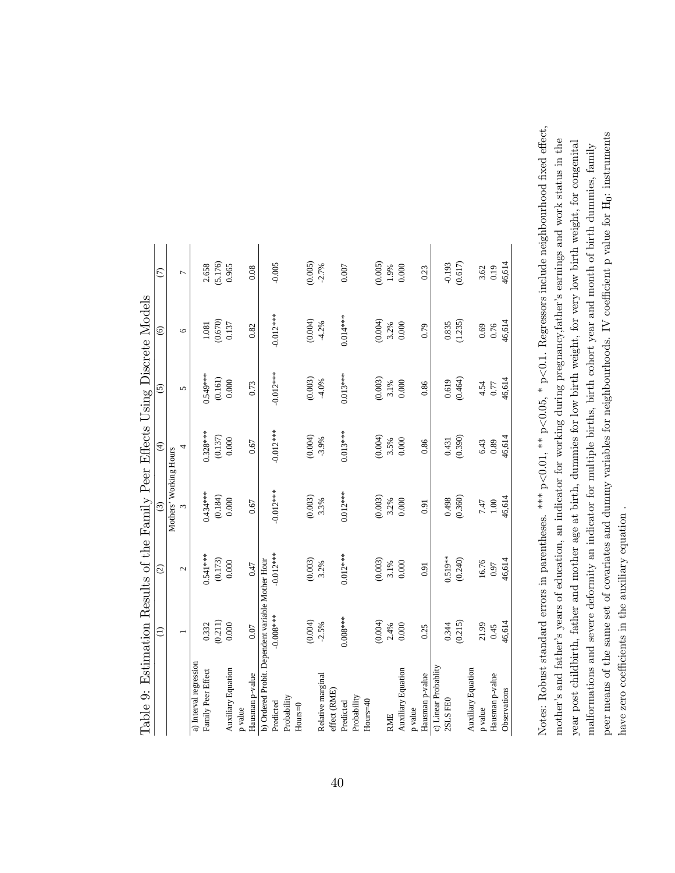| lable 9: Estimation Results of the Family Peer Effects Using Discrete Models |                          |             |                        |                         |             |                |                  |
|------------------------------------------------------------------------------|--------------------------|-------------|------------------------|-------------------------|-------------|----------------|------------------|
|                                                                              | $\widehat{\Xi}$          | $\odot$     | $\odot$                | $\widehat{\mathcal{F}}$ | $\odot$     | $\circledcirc$ | $\widehat{C}$    |
|                                                                              |                          |             | Mothers' Working Hours |                         |             |                |                  |
|                                                                              | $\overline{\phantom{0}}$ | $\sim$      | ω                      | 4                       | 5           | $\circ$        | $\overline{a}$   |
| a) Interval regression                                                       |                          |             |                        |                         |             |                |                  |
| Family Peer Effect                                                           | 0.332                    | $0.541***$  | 0.434 ***              | $0.328***$              | $0.549***$  | 1.081          |                  |
|                                                                              | (0.211)                  | (0.173)     | (0.184)                | (0.137)                 | (0.161)     | (0.670)        | 2.658<br>(5.176) |
| Auxiliary Equation                                                           | 0.000                    | 0.000       | 0.000                  | 0.000                   | 0.000       | 0.137          | 0.965            |
| p value                                                                      |                          |             |                        |                         |             |                |                  |
| Hausman p-value                                                              | 0.07                     | 0.47        | 0.67                   | 0.67                    | 0.73        | 0.82           | 0.08             |
| b) Ordered Probit. Dependent variable Mother Hour                            |                          |             |                        |                         |             |                |                  |
| Predicted                                                                    | $-0.008***$              | $-0.012***$ | $-0.012***$            | $-0.012***$             | $-0.012***$ | $-0.012***$    | $-0.005$         |
| Probability                                                                  |                          |             |                        |                         |             |                |                  |
| $Hours=0$                                                                    |                          |             |                        |                         |             |                |                  |
|                                                                              | (0.004)                  | (0.003)     | (0.003)                | (0.004)                 | (0.003)     | (0.004)        | (0.005)          |
| Relative marginal                                                            | $-2.5%$                  | 3.2%        | 3.3%                   | $-3.9%$                 | $-4.0%$     | $-4.2%$        | $-2.7%$          |
| effect (RME)                                                                 |                          |             |                        |                         |             |                |                  |
| Predicted                                                                    | $0.008***$               | $0.012***$  | $0.012***$             | $0.013***$              | $0.013***$  | $0.014***$     | 0.007            |
| Probability                                                                  |                          |             |                        |                         |             |                |                  |
| Hours=40                                                                     |                          |             |                        |                         |             |                |                  |
|                                                                              | (0.004)                  | (0.003)     | (0.003)                | (0.004)                 | (0.003)     | (0.004)        | (0.005)          |
| <b>RME</b>                                                                   | 2.4%                     | 3.1%        | 3.2%                   | 3.5%                    | $3.1\%$     | 3.2%           | $0.66$           |
| Auxiliary Equation                                                           | 0.000                    | 0.000       | $0.000$                | 0.000                   | 0.000       | 0.000          | 0.000            |
| p value                                                                      |                          |             |                        |                         |             |                |                  |
| Hausman p-value                                                              | 0.25                     | 0.91        | 0.91                   | 0.86                    | 0.86        | 0.79           | 0.23             |
| c) Linear Probablity                                                         |                          |             |                        |                         |             |                |                  |
| 2SLS FEO                                                                     | 0.344                    | 0.519**     | 0.498                  | 0.431                   | 0.619       | 0.835          | $-0.193$         |
|                                                                              | (0.215)                  | (0.240)     | (0.360)                | (0.390)                 | (0.464)     | (1.235)        | (0.617)          |
| Auxiliary Equation                                                           |                          |             |                        |                         |             |                |                  |
| p value                                                                      | 21.99                    | 16.76       | 7.47                   | 6.43                    | 4.54        | 0.69           | 3.62             |
| Hausman p-value                                                              | 0.45                     | 0.97        | $1.00\,$               | 0.89                    | $0.77\,$    | 0.76           | 0.19             |
| Observations                                                                 | 46,614                   | 46,614      | 46,614                 | 46,614                  | 46,614      | 46,614         | 46,614           |
|                                                                              |                          |             |                        |                         |             |                |                  |

Table 9: Estimation Results of the Family Peer Effects Using Discrete Models  $N = 1.1$  $T_{\rm L}$ .  $\Gamma$  $\mathbf{c}$  $\ddot{\cdot}$ Ė Ì.  $\frac{1}{2}$ ÿ  $\mathsf{C}$  $\cdot$  $\cdot$ p  $\epsilon$  $T_{\rm e}$ 

 $<$ 0.1. Regressors include neighbourhood fixed effect, peer means of the same set of covariates and dummy variables for neighbourhoods. IV coefficient p value for H<sub>0</sub>: instruments peer means of the same set of covariates and dummy variables for neighbourhoods. IV coefficient p value for H<sub>0</sub>: instruments year post childbirth, father and mother age at birth, dummies for low birth weight, for very low birth weight, for congenital motherís and fatherís years of education, an indicator for working during pregnancy,fatherís earnings and work status in the year post childbirth, father and mother age at birth, dummies for low birth weight, for very low birth weight, for congenital malformations and severe deformity an indicator for multiple births, birth cohort year and month of birth dummies, family malformations and severe deformity an indicator for multiple births, birth cohort year and month of birth dummies, family  $< 0.05, * p$  $< 0.01,$  \*\* p. Notes: Robust standard errors in parentheses. \*\*\* p have zero coefficients in the auxiliary equation. have zero coefficients in the auxiliary equation.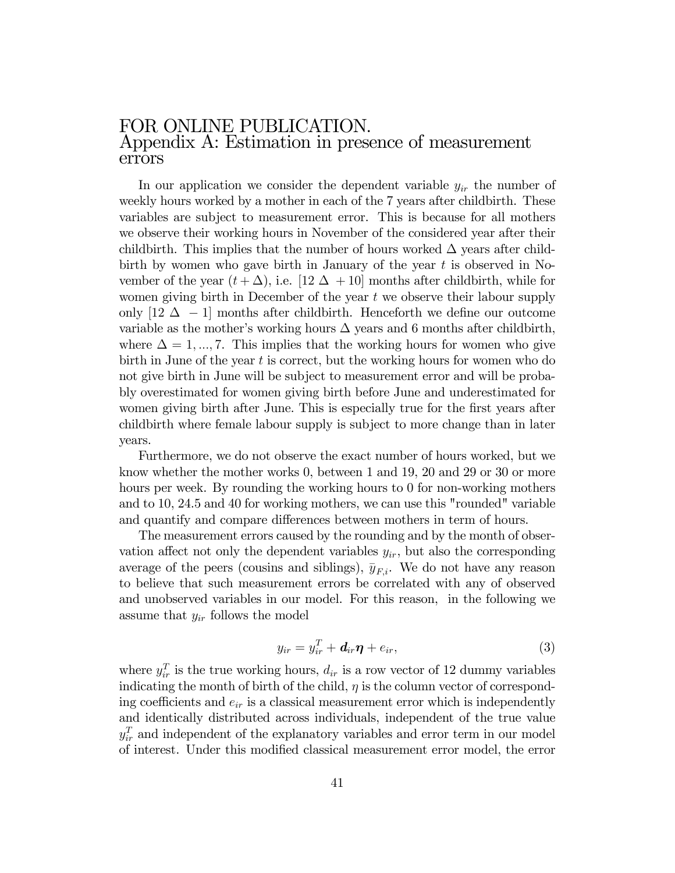#### FOR ONLINE PUBLICATION. Appendix A: Estimation in presence of measurement errors

In our application we consider the dependent variable  $y_{ir}$  the number of weekly hours worked by a mother in each of the 7 years after childbirth. These variables are subject to measurement error. This is because for all mothers we observe their working hours in November of the considered year after their childbirth. This implies that the number of hours worked  $\Delta$  years after childbirth by women who gave birth in January of the year  $t$  is observed in November of the year  $(t + \Delta)$ , i.e. [12  $\Delta$  + 10] months after childbirth, while for women giving birth in December of the year  $t$  we observe their labour supply only  $[12 \Delta -1]$  months after childbirth. Henceforth we define our outcome variable as the mother's working hours  $\Delta$  years and 6 months after childbirth, where  $\Delta = 1, ..., 7$ . This implies that the working hours for women who give birth in June of the year  $t$  is correct, but the working hours for women who do not give birth in June will be subject to measurement error and will be probably overestimated for women giving birth before June and underestimated for women giving birth after June. This is especially true for the first years after childbirth where female labour supply is subject to more change than in later years.

Furthermore, we do not observe the exact number of hours worked, but we know whether the mother works 0, between 1 and 19, 20 and 29 or 30 or more hours per week. By rounding the working hours to 0 for non-working mothers and to 10, 24.5 and 40 for working mothers, we can use this "rounded" variable and quantify and compare differences between mothers in term of hours.

The measurement errors caused by the rounding and by the month of observation affect not only the dependent variables  $y_{ir}$ , but also the corresponding average of the peers (cousins and siblings),  $\bar{y}_{F,i}$ . We do not have any reason to believe that such measurement errors be correlated with any of observed and unobserved variables in our model. For this reason, in the following we assume that  $y_{ir}$  follows the model

$$
y_{ir} = y_{ir}^T + \mathbf{d}_{ir}\boldsymbol{\eta} + e_{ir}, \qquad (3)
$$

where  $y_{ir}^T$  is the true working hours,  $d_{ir}$  is a row vector of 12 dummy variables indicating the month of birth of the child,  $\eta$  is the column vector of corresponding coefficients and  $e_{ir}$  is a classical measurement error which is independently and identically distributed across individuals, independent of the true value  $y_{ir}^T$  and independent of the explanatory variables and error term in our model of interest. Under this modified classical measurement error model, the error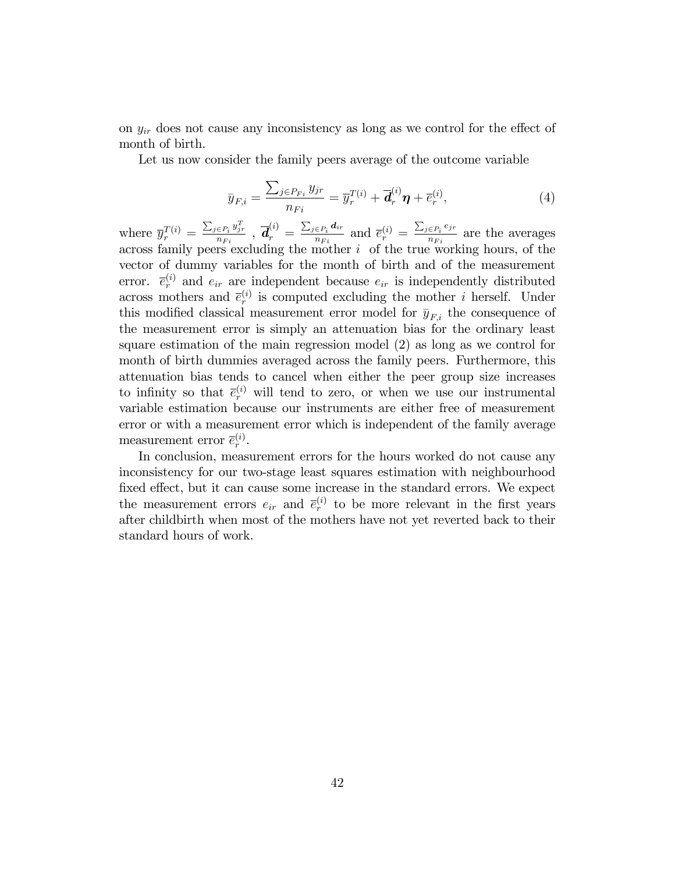on  $y_{ir}$  does not cause any inconsistency as long as we control for the effect of month of birth.

Let us now consider the family peers average of the outcome variable

$$
\bar{y}_{F,i} = \frac{\sum_{j \in P_{Fi}} y_{jr}}{n_{Fi}} = \bar{y}_r^{T(i)} + \bar{d}_r^{(i)} \eta + \bar{e}_r^{(i)},
$$
\n(4)

where  $\overline{y}_{r}^{T(i)} = \frac{\sum_{j \in P_i} y_{jr}^T}{n_{Fi}}$  $\frac{\in P_i}\frac{y_{jr}^T}{n_{Fi}}\ ,\ \overline{\bm{d}}_r^{(i)}\ =\ \frac{\sum_{j\in P_i}\bm{d}_{ir}}{n_{Fi}}$  $\frac{\epsilon_{P_i} d_{ir}}{n_{Fi}}$  and  $\overline{e}_r^{(i)} = \frac{\sum_{j \in P_i} e_{jr}}{n_{Fi}}$  $rac{\epsilon P_i}{n_{Fi}}$  are the averages across family peers excluding the mother  $i$  of the true working hours, of the vector of dummy variables for the month of birth and of the measurement error.  $\bar{e}_r^{(i)}$  and  $e_{ir}$  are independent because  $e_{ir}$  is independently distributed across mothers and  $\bar{e}_r^{(i)}$  is computed excluding the mother *i* herself. Under this modified classical measurement error model for  $\bar{y}_{F,i}$  the consequence of the measurement error is simply an attenuation bias for the ordinary least square estimation of the main regression model (2) as long as we control for month of birth dummies averaged across the family peers. Furthermore, this attenuation bias tends to cancel when either the peer group size increases to infinity so that  $\bar{e}_r^{(i)}$  will tend to zero, or when we use our instrumental variable estimation because our instruments are either free of measurement error or with a measurement error which is independent of the family average measurement error  $\bar{e}_r^{(i)}$ .

In conclusion, measurement errors for the hours worked do not cause any inconsistency for our two-stage least squares estimation with neighbourhood fixed effect, but it can cause some increase in the standard errors. We expect the measurement errors  $e_{ir}$  and  $\bar{e}_r^{(i)}$  to be more relevant in the first years after childbirth when most of the mothers have not yet reverted back to their standard hours of work.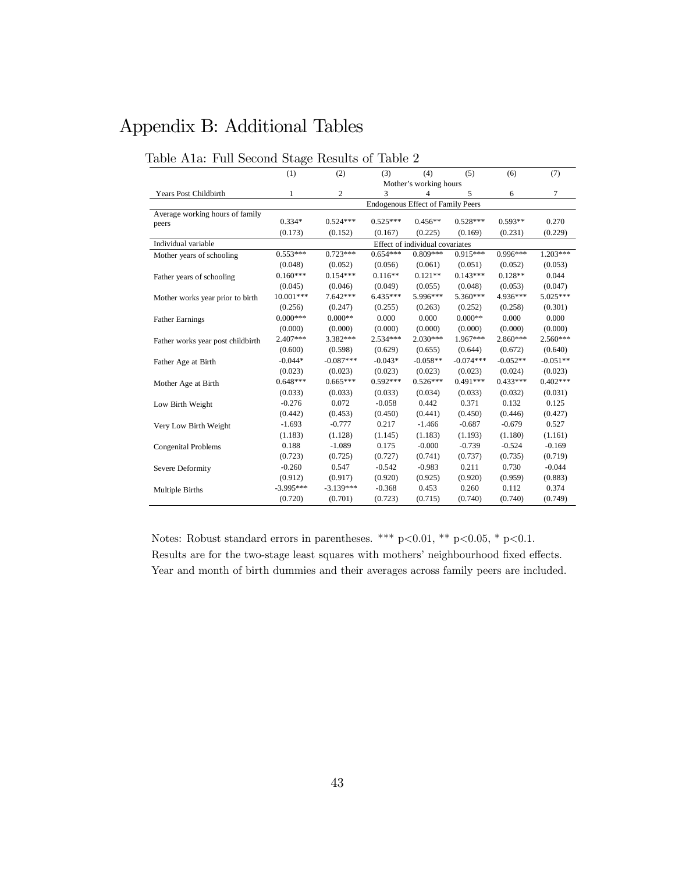# Appendix B: Additional Tables

|                                   | ິ<br>(1)     | (2)         | (3)        | (4)                                      | (5)         | (6)        | (7)        |
|-----------------------------------|--------------|-------------|------------|------------------------------------------|-------------|------------|------------|
|                                   |              |             |            | Mother's working hours                   |             |            |            |
| Years Post Childbirth             | $\mathbf{1}$ | 2           | 3          | 4                                        | 5           | 6          | $\tau$     |
|                                   |              |             |            | <b>Endogenous Effect of Family Peers</b> |             |            |            |
| Average working hours of family   |              |             |            |                                          |             |            |            |
| peers                             | $0.334*$     | $0.524***$  | $0.525***$ | $0.456**$                                | $0.528***$  | $0.593**$  | 0.270      |
|                                   | (0.173)      | (0.152)     | (0.167)    | (0.225)                                  | (0.169)     | (0.231)    | (0.229)    |
| Individual variable               |              |             |            | Effect of individual covariates          |             |            |            |
| Mother years of schooling         | $0.553***$   | $0.723***$  | $0.654***$ | $0.809***$                               | $0.915***$  | $0.996***$ | $1.203***$ |
|                                   | (0.048)      | (0.052)     | (0.056)    | (0.061)                                  | (0.051)     | (0.052)    | (0.053)    |
| Father years of schooling         | $0.160***$   | $0.154***$  | $0.116**$  | $0.121**$                                | $0.143***$  | $0.128**$  | 0.044      |
|                                   | (0.045)      | (0.046)     | (0.049)    | (0.055)                                  | (0.048)     | (0.053)    | (0.047)    |
| Mother works year prior to birth  | $10.001***$  | $7.642***$  | $6.435***$ | 5.996***                                 | 5.360***    | 4.936***   | 5.025***   |
|                                   | (0.256)      | (0.247)     | (0.255)    | (0.263)                                  | (0.252)     | (0.258)    | (0.301)    |
| <b>Father Earnings</b>            | $0.000***$   | $0.000**$   | 0.000      | 0.000                                    | $0.000**$   | 0.000      | 0.000      |
|                                   | (0.000)      | (0.000)     | (0.000)    | (0.000)                                  | (0.000)     | (0.000)    | (0.000)    |
| Father works year post childbirth | 2.407***     | 3.382 ***   | $2.534***$ | $2.030***$                               | 1.967***    | 2.860***   | $2.560***$ |
|                                   | (0.600)      | (0.598)     | (0.629)    | (0.655)                                  | (0.644)     | (0.672)    | (0.640)    |
| Father Age at Birth               | $-0.044*$    | $-0.087***$ | $-0.043*$  | $-0.058**$                               | $-0.074***$ | $-0.052**$ | $-0.051**$ |
|                                   | (0.023)      | (0.023)     | (0.023)    | (0.023)                                  | (0.023)     | (0.024)    | (0.023)    |
| Mother Age at Birth               | $0.648***$   | $0.665***$  | $0.592***$ | $0.526***$                               | $0.491***$  | $0.433***$ | $0.402***$ |
|                                   | (0.033)      | (0.033)     | (0.033)    | (0.034)                                  | (0.033)     | (0.032)    | (0.031)    |
| Low Birth Weight                  | $-0.276$     | 0.072       | $-0.058$   | 0.442                                    | 0.371       | 0.132      | 0.125      |
|                                   | (0.442)      | (0.453)     | (0.450)    | (0.441)                                  | (0.450)     | (0.446)    | (0.427)    |
| Very Low Birth Weight             | $-1.693$     | $-0.777$    | 0.217      | $-1.466$                                 | $-0.687$    | $-0.679$   | 0.527      |
|                                   | (1.183)      | (1.128)     | (1.145)    | (1.183)                                  | (1.193)     | (1.180)    | (1.161)    |
| <b>Congenital Problems</b>        | 0.188        | $-1.089$    | 0.175      | $-0.000$                                 | $-0.739$    | $-0.524$   | $-0.169$   |
|                                   | (0.723)      | (0.725)     | (0.727)    | (0.741)                                  | (0.737)     | (0.735)    | (0.719)    |
| Severe Deformity                  | $-0.260$     | 0.547       | $-0.542$   | $-0.983$                                 | 0.211       | 0.730      | $-0.044$   |
|                                   | (0.912)      | (0.917)     | (0.920)    | (0.925)                                  | (0.920)     | (0.959)    | (0.883)    |
| Multiple Births                   | $-3.995***$  | $-3.139***$ | $-0.368$   | 0.453                                    | 0.260       | 0.112      | 0.374      |
|                                   | (0.720)      | (0.701)     | (0.723)    | (0.715)                                  | (0.740)     | (0.740)    | (0.749)    |

#### Table A1a: Full Second Stage Results of Table 2

Notes: Robust standard errors in parentheses. \*\*\* p<0.01, \*\* p<0.05, \* p<0.1. Results are for the two-stage least squares with mothers' neighbourhood fixed effects.  $\;$ Year and month of birth dummies and their averages across family peers are included.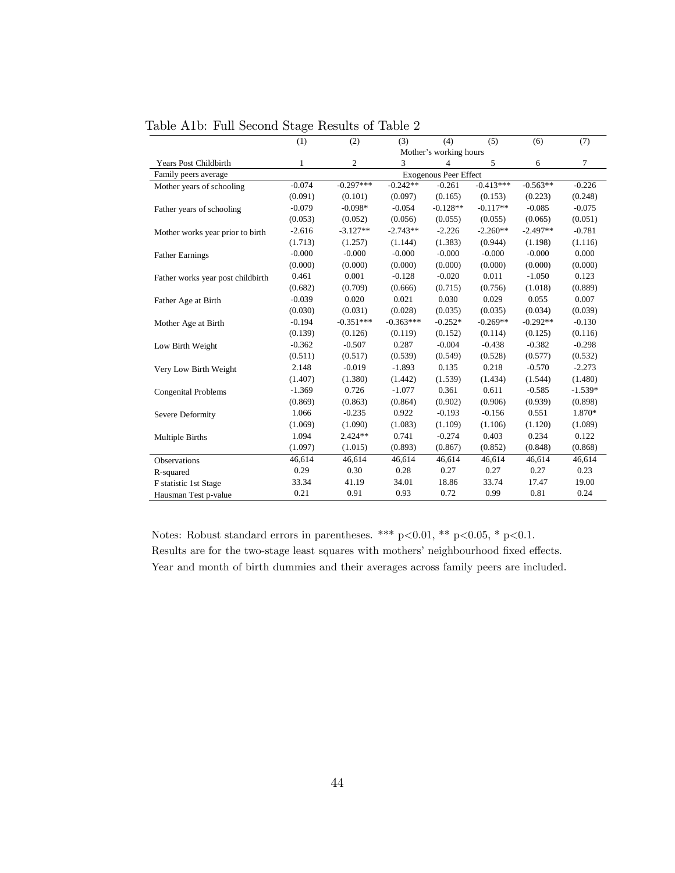|                                   | (1)      | (2)            | (3)         | (4)                    | (5)         | (6)        | (7)       |
|-----------------------------------|----------|----------------|-------------|------------------------|-------------|------------|-----------|
|                                   |          |                |             | Mother's working hours |             |            |           |
| Years Post Childbirth             | 1        | $\overline{c}$ | 3           | 4                      | 5           | 6          | 7         |
| Family peers average              |          |                |             | Exogenous Peer Effect  |             |            |           |
| Mother years of schooling         | $-0.074$ | $-0.297***$    | $-0.242**$  | $-0.261$               | $-0.413***$ | $-0.563**$ | $-0.226$  |
|                                   | (0.091)  | (0.101)        | (0.097)     | (0.165)                | (0.153)     | (0.223)    | (0.248)   |
| Father years of schooling         | $-0.079$ | $-0.098*$      | $-0.054$    | $-0.128**$             | $-0.117**$  | $-0.085$   | $-0.075$  |
|                                   | (0.053)  | (0.052)        | (0.056)     | (0.055)                | (0.055)     | (0.065)    | (0.051)   |
| Mother works year prior to birth  | $-2.616$ | $-3.127**$     | $-2.743**$  | $-2.226$               | $-2.260**$  | $-2.497**$ | $-0.781$  |
|                                   | (1.713)  | (1.257)        | (1.144)     | (1.383)                | (0.944)     | (1.198)    | (1.116)   |
| <b>Father Earnings</b>            | $-0.000$ | $-0.000$       | $-0.000$    | $-0.000$               | $-0.000$    | $-0.000$   | 0.000     |
|                                   | (0.000)  | (0.000)        | (0.000)     | (0.000)                | (0.000)     | (0.000)    | (0.000)   |
| Father works year post childbirth | 0.461    | 0.001          | $-0.128$    | $-0.020$               | 0.011       | $-1.050$   | 0.123     |
|                                   | (0.682)  | (0.709)        | (0.666)     | (0.715)                | (0.756)     | (1.018)    | (0.889)   |
| Father Age at Birth               | $-0.039$ | 0.020          | 0.021       | 0.030                  | 0.029       | 0.055      | 0.007     |
|                                   | (0.030)  | (0.031)        | (0.028)     | (0.035)                | (0.035)     | (0.034)    | (0.039)   |
| Mother Age at Birth               | $-0.194$ | $-0.351***$    | $-0.363***$ | $-0.252*$              | $-0.269**$  | $-0.292**$ | $-0.130$  |
|                                   | (0.139)  | (0.126)        | (0.119)     | (0.152)                | (0.114)     | (0.125)    | (0.116)   |
| Low Birth Weight                  | $-0.362$ | $-0.507$       | 0.287       | $-0.004$               | $-0.438$    | $-0.382$   | $-0.298$  |
|                                   | (0.511)  | (0.517)        | (0.539)     | (0.549)                | (0.528)     | (0.577)    | (0.532)   |
| Very Low Birth Weight             | 2.148    | $-0.019$       | $-1.893$    | 0.135                  | 0.218       | $-0.570$   | $-2.273$  |
|                                   | (1.407)  | (1.380)        | (1.442)     | (1.539)                | (1.434)     | (1.544)    | (1.480)   |
| <b>Congenital Problems</b>        | $-1.369$ | 0.726          | $-1.077$    | 0.361                  | 0.611       | $-0.585$   | $-1.539*$ |
|                                   | (0.869)  | (0.863)        | (0.864)     | (0.902)                | (0.906)     | (0.939)    | (0.898)   |
| Severe Deformity                  | 1.066    | $-0.235$       | 0.922       | $-0.193$               | $-0.156$    | 0.551      | 1.870*    |
|                                   | (1.069)  | (1.090)        | (1.083)     | (1.109)                | (1.106)     | (1.120)    | (1.089)   |
| <b>Multiple Births</b>            | 1.094    | $2.424**$      | 0.741       | $-0.274$               | 0.403       | 0.234      | 0.122     |
|                                   | (1.097)  | (1.015)        | (0.893)     | (0.867)                | (0.852)     | (0.848)    | (0.868)   |
| Observations                      | 46,614   | 46,614         | 46,614      | 46,614                 | 46,614      | 46,614     | 46,614    |
| R-squared                         | 0.29     | 0.30           | 0.28        | 0.27                   | 0.27        | 0.27       | 0.23      |
| F statistic 1st Stage             | 33.34    | 41.19          | 34.01       | 18.86                  | 33.74       | 17.47      | 19.00     |
| Hausman Test p-value              | 0.21     | 0.91           | 0.93        | 0.72                   | 0.99        | 0.81       | 0.24      |

Table A1b: Full Second Stage Results of Table 2

Notes: Robust standard errors in parentheses. \*\*\* p<0.01, \*\* p<0.05, \* p<0.1. Results are for the two-stage least squares with mothers' neighbourhood fixed effects.  $\;$ Year and month of birth dummies and their averages across family peers are included.